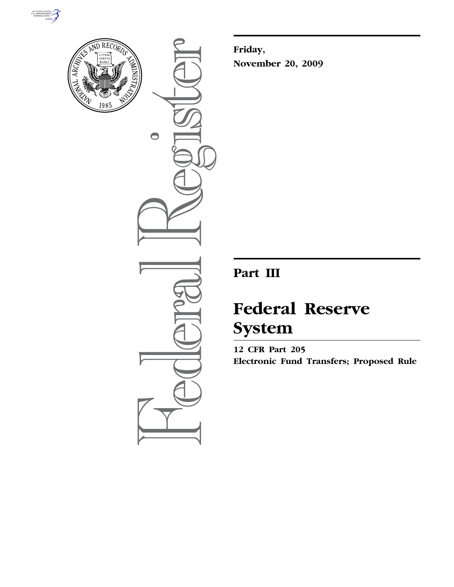



 $\bullet$ 

**Friday, November 20, 2009** 

# **Part III**

# **Federal Reserve System**

**12 CFR Part 205 Electronic Fund Transfers; Proposed Rule**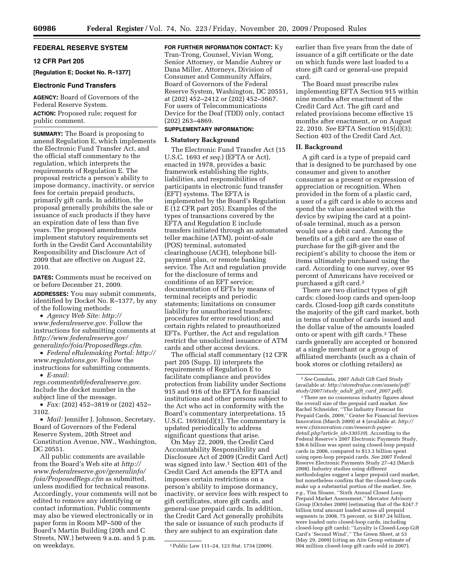# **FEDERAL RESERVE SYSTEM**

# **12 CFR Part 205**

**[Regulation E; Docket No. R–1377]** 

#### **Electronic Fund Transfers**

**AGENCY:** Board of Governors of the Federal Reserve System.

**ACTION:** Proposed rule; request for public comment.

**SUMMARY:** The Board is proposing to amend Regulation E, which implements the Electronic Fund Transfer Act, and the official staff commentary to the regulation, which interprets the requirements of Regulation E. The proposal restricts a person's ability to impose dormancy, inactivity, or service fees for certain prepaid products, primarily gift cards. In addition, the proposal generally prohibits the sale or issuance of such products if they have an expiration date of less than five years. The proposed amendments implement statutory requirements set forth in the Credit Card Accountability Responsibility and Disclosure Act of 2009 that are effective on August 22, 2010.

**DATES:** Comments must be received on or before December 21, 2009.

**ADDRESSES:** You may submit comments, identified by Docket No. R–1377, by any of the following methods:

• *Agency Web Site: http:// www.federalreserve.gov*. Follow the instructions for submitting comments at *http://www.federalreserve.gov/ generalinfo/foia/ProposedRegs.cfm*.

• *Federal eRulemaking Portal: http:// www.regulations.gov*. Follow the instructions for submitting comments.

• *E-mail:* 

*regs.comments@federalreserve.gov*. Include the docket number in the subject line of the message.

• *Fax:* (202) 452–3819 or (202) 452– 3102.

• *Mail:* Jennifer J. Johnson, Secretary, Board of Governors of the Federal Reserve System, 20th Street and Constitution Avenue, NW., Washington, DC 20551.

All public comments are available from the Board's Web site at *http:// www.federalreserve.gov/generalinfo/ foia/ProposedRegs.cfm* as submitted, unless modified for technical reasons. Accordingly, your comments will not be edited to remove any identifying or contact information. Public comments may also be viewed electronically or in paper form in Room MP–500 of the Board's Martin Building (20th and C Streets, NW.) between 9 a.m. and 5 p.m. on weekdays.

**FOR FURTHER INFORMATION CONTACT:** Ky Tran-Trong, Counsel, Vivian Wong, Senior Attorney, or Mandie Aubrey or Dana Miller, Attorneys, Division of Consumer and Community Affairs, Board of Governors of the Federal Reserve System, Washington, DC 20551, at (202) 452–2412 or (202) 452–3667. For users of Telecommunications Device for the Deaf (TDD) only, contact (202) 263–4869.

# **SUPPLEMENTARY INFORMATION:**

#### **I. Statutory Background**

The Electronic Fund Transfer Act (15 U.S.C. 1693 *et seq.*) (EFTA or Act), enacted in 1978, provides a basic framework establishing the rights, liabilities, and responsibilities of participants in electronic fund transfer (EFT) systems. The EFTA is implemented by the Board's Regulation E (12 CFR part 205). Examples of the types of transactions covered by the EFTA and Regulation E include transfers initiated through an automated teller machine (ATM), point-of-sale (POS) terminal, automated clearinghouse (ACH), telephone billpayment plan, or remote banking service. The Act and regulation provide for the disclosure of terms and conditions of an EFT service; documentation of EFTs by means of terminal receipts and periodic statements; limitations on consumer liability for unauthorized transfers; procedures for error resolution; and certain rights related to preauthorized EFTs. Further, the Act and regulation restrict the unsolicited issuance of ATM cards and other access devices.

The official staff commentary (12 CFR part 205 (Supp. I)) interprets the requirements of Regulation E to facilitate compliance and provides protection from liability under Sections 915 and 916 of the EFTA for financial institutions and other persons subject to the Act who act in conformity with the Board's commentary interpretations. 15 U.S.C. 1693m(d)(1). The commentary is updated periodically to address significant questions that arise.

On May 22, 2009, the Credit Card Accountability Responsibility and Disclosure Act of 2009 (Credit Card Act) was signed into law.1 Section 401 of the Credit Card Act amends the EFTA and imposes certain restrictions on a person's ability to impose dormancy, inactivity, or service fees with respect to gift certificates, store gift cards, and general-use prepaid cards. In addition, the Credit Card Act generally prohibits the sale or issuance of such products if they are subject to an expiration date

earlier than five years from the date of issuance of a gift certificate or the date on which funds were last loaded to a store gift card or general-use prepaid card.

The Board must prescribe rules implementing EFTA Section 915 within nine months after enactment of the Credit Card Act. The gift card and related provisions become effective 15 months after enactment, or on August 22, 2010. *See* EFTA Section 915(d)(3); Section 403 of the Credit Card Act.

# **II. Background**

A gift card is a type of prepaid card that is designed to be purchased by one consumer and given to another consumer as a present or expression of appreciation or recognition. When provided in the form of a plastic card, a user of a gift card is able to access and spend the value associated with the device by swiping the card at a pointof-sale terminal, much as a person would use a debit card. Among the benefits of a gift card are the ease of purchase for the gift-giver and the recipient's ability to choose the item or items ultimately purchased using the card. According to one survey, over 95 percent of Americans have received or purchased a gift card.2

There are two distinct types of gift cards: closed-loop cards and open-loop cards. Closed-loop gift cards constitute the majority of the gift card market, both in terms of number of cards issued and the dollar value of the amounts loaded onto or spent with gift cards.3 These cards generally are accepted or honored at a single merchant or a group of affiliated merchants (such as a chain of book stores or clothing retailers) as

3There are no consensus industry figures about the overall size of the prepaid card market. *See*  Rachel Schneider, ''The Industry Forecast for Prepaid Cards, 2009,'' Center for Financial Services Innovation (March 2009) at 4 (available at: *http:// www.cfsinnovation.com/research-paperdetail.php?article*\_*id=330539*). According to the Federal Reserve's 2007 Electronic Payments Study, \$36.6 billion was spent using closed-loop prepaid cards in 2006, compared to \$13.3 billion spent using open-loop prepaid cards. *See* 2007 Federal Reserve Electronic Payments Study 27–42 (March 2008). Industry studies using different methodologies suggest a larger prepaid card market, but nonetheless confirm that the closed-loop cards make up a substantial portion of the market. *See, e.g.,* Tim Sloane, ''Sixth Annual Closed Loop Prepaid Market Assessment,'' Mercator Advisory Group (October 2009) (estimating that of the \$247.7 billion total amount loaded across all prepaid segments in 2008, 75 percent, or \$187.24 billion, were loaded onto closed-loop cards, including closed-loop gift cards); ''Loyalty is Closed-Loop Gift Card's 'Second Wind','' The Green Sheet, at 53 (May 29, 2009) (citing an Aite Group estimate of 904 million closed-loop gift cards sold in 2007).

<sup>1</sup>Public Law 111–24, 123 Stat. 1734 (2009).

<sup>2</sup>*See* Comdata, 2007 Adult Gift Card Study (available at: *http://storedvalue.com/assets/pdf/ study/2007/study*\_*adult*\_*gift*\_*card*\_*2007.pdf*).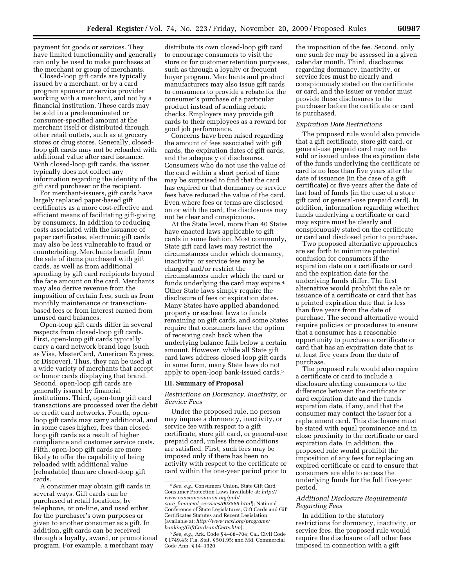payment for goods or services. They have limited functionality and generally can only be used to make purchases at the merchant or group of merchants.

Closed-loop gift cards are typically issued by a merchant, or by a card program sponsor or service provider working with a merchant, and not by a financial institution. These cards may be sold in a predenominated or consumer-specified amount at the merchant itself or distributed through other retail outlets, such as at grocery stores or drug stores. Generally, closedloop gift cards may not be reloaded with additional value after card issuance. With closed-loop gift cards, the issuer typically does not collect any information regarding the identity of the gift card purchaser or the recipient.

For merchant-issuers, gift cards have largely replaced paper-based gift certificates as a more cost-effective and efficient means of facilitating gift-giving by consumers. In addition to reducing costs associated with the issuance of paper certificates, electronic gift cards may also be less vulnerable to fraud or counterfeiting. Merchants benefit from the sale of items purchased with gift cards, as well as from additional spending by gift card recipients beyond the face amount on the card. Merchants may also derive revenue from the imposition of certain fees, such as from monthly maintenance or transactionbased fees or from interest earned from unused card balances.

Open-loop gift cards differ in several respects from closed-loop gift cards. First, open-loop gift cards typically carry a card network brand logo (such as Visa, MasterCard, American Express, or Discover). Thus, they can be used at a wide variety of merchants that accept or honor cards displaying that brand. Second, open-loop gift cards are generally issued by financial institutions. Third, open-loop gift card transactions are processed over the debit or credit card networks. Fourth, openloop gift cards may carry additional, and in some cases higher, fees than closedloop gift cards as a result of higher compliance and customer service costs. Fifth, open-loop gift cards are more likely to offer the capability of being reloaded with additional value (reloadable) than are closed-loop gift cards.

A consumer may obtain gift cards in several ways. Gift cards can be purchased at retail locations, by telephone, or on-line, and used either for the purchaser's own purposes or given to another consumer as a gift. In addition, gift cards can be received through a loyalty, award, or promotional program. For example, a merchant may

distribute its own closed-loop gift card to encourage consumers to visit the store or for customer retention purposes, such as through a loyalty or frequent buyer program. Merchants and product manufacturers may also issue gift cards to consumers to provide a rebate for the consumer's purchase of a particular product instead of sending rebate checks. Employers may provide gift cards to their employees as a reward for good job performance.

Concerns have been raised regarding the amount of fees associated with gift cards, the expiration dates of gift cards, and the adequacy of disclosures. Consumers who do not use the value of the card within a short period of time may be surprised to find that the card has expired or that dormancy or service fees have reduced the value of the card. Even where fees or terms are disclosed on or with the card, the disclosures may not be clear and conspicuous.

At the State level, more than 40 States have enacted laws applicable to gift cards in some fashion. Most commonly, State gift card laws may restrict the circumstances under which dormancy, inactivity, or service fees may be charged and/or restrict the circumstances under which the card or funds underlying the card may expire.4 Other State laws simply require the disclosure of fees or expiration dates. Many States have applied abandoned property or escheat laws to funds remaining on gift cards, and some States require that consumers have the option of receiving cash back when the underlying balance falls below a certain amount. However, while all State gift card laws address closed-loop gift cards in some form, many State laws do not apply to open-loop bank-issued cards.5

#### **III. Summary of Proposal**

# *Restrictions on Dormancy, Inactivity, or Service Fees*

Under the proposed rule, no person may impose a dormancy, inactivity, or service fee with respect to a gift certificate, store gift card, or general-use prepaid card, unless three conditions are satisfied. First, such fees may be imposed only if there has been no activity with respect to the certificate or card within the one-year period prior to

the imposition of the fee. Second, only one such fee may be assessed in a given calendar month. Third, disclosures regarding dormancy, inactivity, or service fees must be clearly and conspicuously stated on the certificate or card, and the issuer or vendor must provide these disclosures to the purchaser before the certificate or card is purchased.

#### *Expiration Date Restrictions*

The proposed rule would also provide that a gift certificate, store gift card, or general-use prepaid card may not be sold or issued unless the expiration date of the funds underlying the certificate or card is no less than five years after the date of issuance (in the case of a gift certificate) or five years after the date of last load of funds (in the case of a store gift card or general-use prepaid card). In addition, information regarding whether funds underlying a certificate or card may expire must be clearly and conspicuously stated on the certificate or card and disclosed prior to purchase.

Two proposed alternative approaches are set forth to minimize potential confusion for consumers if the expiration date on a certificate or card and the expiration date for the underlying funds differ. The first alternative would prohibit the sale or issuance of a certificate or card that has a printed expiration date that is less than five years from the date of purchase. The second alternative would require policies or procedures to ensure that a consumer has a reasonable opportunity to purchase a certificate or card that has an expiration date that is at least five years from the date of purchase.

The proposed rule would also require a certificate or card to include a disclosure alerting consumers to the difference between the certificate or card expiration date and the funds expiration date, if any, and that the consumer may contact the issuer for a replacement card. This disclosure must be stated with equal prominence and in close proximity to the certificate or card expiration date. In addition, the proposed rule would prohibit the imposition of any fees for replacing an expired certificate or card to ensure that consumers are able to access the underlying funds for the full five-year period.

# *Additional Disclosure Requirements Regarding Fees*

In addition to the statutory restrictions for dormancy, inactivity, or service fees, the proposed rule would require the disclosure of all other fees imposed in connection with a gift

<sup>4</sup>*See, e.g.,* Consumers Union, State Gift Card Consumer Protection Laws (available at: *http:// www.consumersunion.org/pub/ core*\_*financial*\_*services/003889.html*); National Conference of State Legislatures, Gift Cards and Gift Certificates Statutes and Recent Legislation (available at: *http://www.ncsl.org/programs/ banking/GiftCardsandCerts.htm*).

<sup>5</sup>*See, e.g.,* Ark. Code § 4–88–704; Cal. Civil Code § 1749.45; Fla. Stat. § 501.95; and Md. Commercial Code Ann. § 14–1320.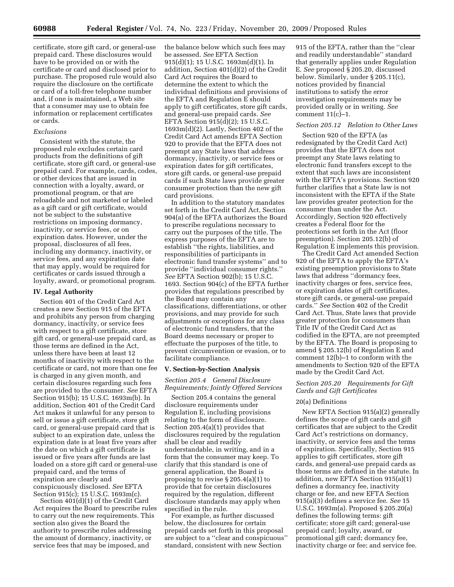certificate, store gift card, or general-use prepaid card. These disclosures would have to be provided on or with the certificate or card and disclosed prior to purchase. The proposed rule would also require the disclosure on the certificate or card of a toll-free telephone number and, if one is maintained, a Web site that a consumer may use to obtain fee information or replacement certificates or cards.

#### *Exclusions*

Consistent with the statute, the proposed rule excludes certain card products from the definitions of gift certificate, store gift card, or general-use prepaid card. For example, cards, codes, or other devices that are issued in connection with a loyalty, award, or promotional program, or that are reloadable and not marketed or labeled as a gift card or gift certificate, would not be subject to the substantive restrictions on imposing dormancy, inactivity, or service fees, or on expiration dates. However, under the proposal, disclosures of all fees, including any dormancy, inactivity, or service fees, and any expiration date that may apply, would be required for certificates or cards issued through a loyalty, award, or promotional program.

# **IV. Legal Authority**

Section 401 of the Credit Card Act creates a new Section 915 of the EFTA and prohibits any person from charging dormancy, inactivity, or service fees with respect to a gift certificate, store gift card, or general-use prepaid card, as those terms are defined in the Act, unless there have been at least 12 months of inactivity with respect to the certificate or card, not more than one fee is charged in any given month, and certain disclosures regarding such fees are provided to the consumer. *See* EFTA Section 915(b); 15 U.S.C. 1693m(b). In addition, Section 401 of the Credit Card Act makes it unlawful for any person to sell or issue a gift certificate, store gift card, or general-use prepaid card that is subject to an expiration date, unless the expiration date is at least five years after the date on which a gift certificate is issued or five years after funds are last loaded on a store gift card or general-use prepaid card, and the terms of expiration are clearly and conspicuously disclosed. *See* EFTA Section 915(c); 15 U.S.C. 1693m(c).

Section 401(d)(1) of the Credit Card Act requires the Board to prescribe rules to carry out the new requirements. This section also gives the Board the authority to prescribe rules addressing the amount of dormancy, inactivity, or service fees that may be imposed, and

the balance below which such fees may be assessed. *See* EFTA Section 915(d)(1); 15 U.S.C. 1693m(d)(1). In addition, Section 401(d)(2) of the Credit Card Act requires the Board to determine the extent to which the individual definitions and provisions of the EFTA and Regulation E should apply to gift certificates, store gift cards, and general-use prepaid cards. *See*  EFTĂ Section  $915(d)(2)$ ; 15 U.S.C.  $1693m(d)(2)$ . Lastly, Section 402 of the Credit Card Act amends EFTA Section 920 to provide that the EFTA does not preempt any State laws that address dormancy, inactivity, or service fees or expiration dates for gift certificates, store gift cards, or general-use prepaid cards if such State laws provide greater consumer protection than the new gift card provisions.

In addition to the statutory mandates set forth in the Credit Card Act, Section 904(a) of the EFTA authorizes the Board to prescribe regulations necessary to carry out the purposes of the title. The express purposes of the EFTA are to establish ''the rights, liabilities, and responsibilities of participants in electronic fund transfer systems'' and to provide ''individual consumer rights.'' *See* EFTA Section 902(b); 15 U.S.C. 1693. Section 904(c) of the EFTA further provides that regulations prescribed by the Board may contain any classifications, differentiations, or other provisions, and may provide for such adjustments or exceptions for any class of electronic fund transfers, that the Board deems necessary or proper to effectuate the purposes of the title, to prevent circumvention or evasion, or to facilitate compliance.

#### **V. Section-by-Section Analysis**

# *Section 205.4 General Disclosure Requirements; Jointly Offered Services*

Section 205.4 contains the general disclosure requirements under Regulation E, including provisions relating to the form of disclosure. Section 205.4(a)(1) provides that disclosures required by the regulation shall be clear and readily understandable, in writing, and in a form that the consumer may keep. To clarify that this standard is one of general application, the Board is proposing to revise § 205.4(a)(1) to provide that for certain disclosures required by the regulation, different disclosure standards may apply when specified in the rule.

For example, as further discussed below, the disclosures for certain prepaid cards set forth in this proposal are subject to a ''clear and conspicuous'' standard, consistent with new Section

915 of the EFTA, rather than the ''clear and readily understandable'' standard that generally applies under Regulation E. *See* proposed § 205.20, discussed below. Similarly, under § 205.11(c), notices provided by financial institutions to satisfy the error investigation requirements may be provided orally or in writing. *See*  comment  $11(c)-1$ .

# *Section 205.12 Relation to Other Laws*

Section 920 of the EFTA (as redesignated by the Credit Card Act) provides that the EFTA does not preempt any State laws relating to electronic fund transfers except to the extent that such laws are inconsistent with the EFTA's provisions. Section 920 further clarifies that a State law is not inconsistent with the EFTA if the State law provides greater protection for the consumer than under the Act. Accordingly, Section 920 effectively creates a Federal floor for the protections set forth in the Act (floor preemption). Section 205.12(b) of Regulation E implements this provision.

The Credit Card Act amended Section 920 of the EFTA to apply the EFTA's existing preemption provisions to State laws that address ''dormancy fees, inactivity charges or fees, service fees, or expiration dates of gift certificates, store gift cards, or general-use prepaid cards.'' *See* Section 402 of the Credit Card Act. Thus, State laws that provide greater protection for consumers than Title IV of the Credit Card Act as codified in the EFTA, are not preempted by the EFTA. The Board is proposing to amend § 205.12(b) of Regulation E and comment 12(b)–1 to conform with the amendments to Section 920 of the EFTA made by the Credit Card Act.

# *Section 205.20 Requirements for Gift Cards and Gift Certificates*

# 20(a) Definitions

New EFTA Section 915(a)(2) generally defines the scope of gift cards and gift certificates that are subject to the Credit Card Act's restrictions on dormancy, inactivity, or service fees and the terms of expiration. Specifically, Section 915 applies to gift certificates, store gift cards, and general-use prepaid cards as those terms are defined in the statute. In addition, new EFTA Section 915(a)(1) defines a dormancy fee, inactivity charge or fee, and new EFTA Section 915(a)(3) defines a service fee. *See* 15 U.S.C. 1693m(a). Proposed § 205.20(a) defines the following terms: gift certificate; store gift card; general-use prepaid card; loyalty, award, or promotional gift card; dormancy fee, inactivity charge or fee; and service fee.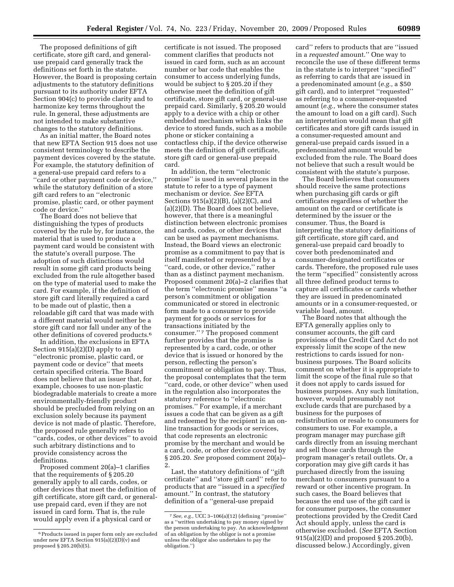The proposed definitions of gift certificate, store gift card, and generaluse prepaid card generally track the definitions set forth in the statute. However, the Board is proposing certain adjustments to the statutory definitions pursuant to its authority under EFTA Section 904(c) to provide clarity and to harmonize key terms throughout the rule. In general, these adjustments are not intended to make substantive changes to the statutory definitions.

As an initial matter, the Board notes that new EFTA Section 915 does not use consistent terminology to describe the payment devices covered by the statute. For example, the statutory definition of a general-use prepaid card refers to a ''card or other payment code or device,'' while the statutory definition of a store gift card refers to an ''electronic promise, plastic card, or other payment code or device.''

The Board does not believe that distinguishing the types of products covered by the rule by, for instance, the material that is used to produce a payment card would be consistent with the statute's overall purpose. The adoption of such distinctions would result in some gift card products being excluded from the rule altogether based on the type of material used to make the card. For example, if the definition of store gift card literally required a card to be made out of plastic, then a reloadable gift card that was made with a different material would neither be a store gift card nor fall under any of the other definitions of covered products.6

In addition, the exclusions in EFTA Section 915(a)(2)(D) apply to an ''electronic promise, plastic card, or payment code or device'' that meets certain specified criteria. The Board does not believe that an issuer that, for example, chooses to use non-plastic biodegradable materials to create a more environmentally-friendly product should be precluded from relying on an exclusion solely because its payment device is not made of plastic. Therefore, the proposed rule generally refers to ''cards, codes, or other devices'' to avoid such arbitrary distinctions and to provide consistency across the definitions.

Proposed comment 20(a)–1 clarifies that the requirements of § 205.20 generally apply to all cards, codes, or other devices that meet the definition of gift certificate, store gift card, or generaluse prepaid card, even if they are not issued in card form. That is, the rule would apply even if a physical card or

certificate is not issued. The proposed comment clarifies that products not issued in card form, such as an account number or bar code that enables the consumer to access underlying funds, would be subject to § 205.20 if they otherwise meet the definition of gift certificate, store gift card, or general-use prepaid card. Similarly, § 205.20 would apply to a device with a chip or other embedded mechanism which links the device to stored funds, such as a mobile phone or sticker containing a contactless chip, if the device otherwise meets the definition of gift certificate, store gift card or general-use prepaid card.

In addition, the term ''electronic promise'' is used in several places in the statute to refer to a type of payment mechanism or device. *See* EFTA Sections 915(a)(2)(B), (a)(2)(C), and (a)(2)(D). The Board does not believe, however, that there is a meaningful distinction between electronic promises and cards, codes, or other devices that can be used as payment mechanisms. Instead, the Board views an electronic promise as a commitment to pay that is itself manifested or represented by a ''card, code, or other device,'' rather than as a distinct payment mechanism. Proposed comment 20(a)–2 clarifies that the term ''electronic promise'' means ''a person's commitment or obligation communicated or stored in electronic form made to a consumer to provide payment for goods or services for transactions initiated by the consumer.'' 7 The proposed comment further provides that the promise is represented by a card, code, or other device that is issued or honored by the person, reflecting the person's commitment or obligation to pay. Thus, the proposal contemplates that the term ''card, code, or other device'' when used in the regulation also incorporates the statutory reference to ''electronic promises.'' For example, if a merchant issues a code that can be given as a gift and redeemed by the recipient in an online transaction for goods or services, that code represents an electronic promise by the merchant and would be a card, code, or other device covered by § 205.20. *See* proposed comment 20(a)– 2.

Last, the statutory definitions of ''gift certificate'' and ''store gift card'' refer to products that are ''issued in a *specified*  amount.'' In contrast, the statutory definition of a ''general-use prepaid

card'' refers to products that are ''issued in a *requested* amount.'' One way to reconcile the use of these different terms in the statute is to interpret ''specified'' as referring to cards that are issued in a predenominated amount (*e.g.,* a \$50 gift card), and to interpret ''requested'' as referring to a consumer-requested amount (*e.g.,* where the consumer states the amount to load on a gift card). Such an interpretation would mean that gift certificates and store gift cards issued in a consumer-requested amount and general-use prepaid cards issued in a predenominated amount would be excluded from the rule. The Board does not believe that such a result would be consistent with the statute's purpose.

The Board believes that consumers should receive the same protections when purchasing gift cards or gift certificates regardless of whether the amount on the card or certificate is determined by the issuer or the consumer. Thus, the Board is interpreting the statutory definitions of gift certificate, store gift card, and general-use prepaid card broadly to cover both predenominated and consumer-designated certificates or cards. Therefore, the proposed rule uses the term ''specified'' consistently across all three defined product terms to capture all certificates or cards whether they are issued in predenominated amounts or in a consumer-requested, or variable load, amount.

The Board notes that although the EFTA generally applies only to consumer accounts, the gift card provisions of the Credit Card Act do not expressly limit the scope of the new restrictions to cards issued for nonbusiness purposes. The Board solicits comment on whether it is appropriate to limit the scope of the final rule so that it does not apply to cards issued for business purposes. Any such limitation, however, would presumably not exclude cards that are purchased by a business for the purposes of redistribution or resale to consumers for consumers to use. For example, a program manager may purchase gift cards directly from an issuing merchant and sell those cards through the program manager's retail outlets. Or, a corporation may give gift cards it has purchased directly from the issuing merchant to consumers pursuant to a reward or other incentive program. In such cases, the Board believes that because the end use of the gift card is for consumer purposes, the consumer protections provided by the Credit Card Act should apply, unless the card is otherwise excluded. (*See* EFTA Section 915(a)(2)(D) and proposed § 205.20(b), discussed below.) Accordingly, given

<sup>6</sup>Products issued in paper form only are excluded under new EFTA Section 915(a)(2)(D)(v) and proposed § 205.20(b)(5).

<sup>7</sup>*See, e.g.,* UCC 3–106(a)(12) (defining ''promise'' as a ''written undertaking to pay money signed by the person undertaking to pay. An acknowledgment of an obligation by the obligor is not a promise unless the obligor also undertakes to pay the obligation.'')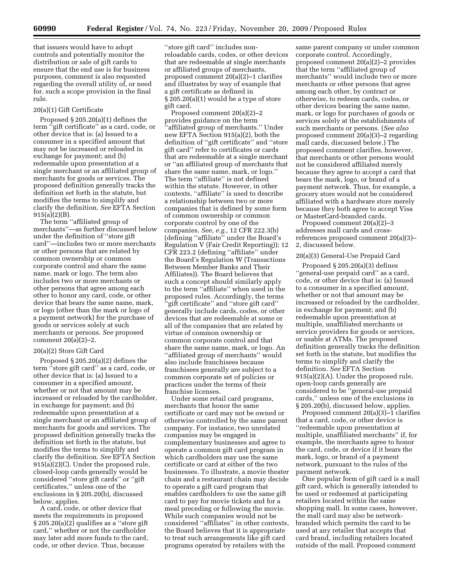that issuers would have to adopt controls and potentially monitor the distribution or sale of gift cards to ensure that the end use is for business purposes, comment is also requested regarding the overall utility of, or need for, such a scope provision in the final rule.

# 20(a)(1) Gift Certificate

Proposed § 205.20(a)(1) defines the term ''gift certificate'' as a card, code, or other device that is: (a) Issued to a consumer in a specified amount that may not be increased or reloaded in exchange for payment; and (b) redeemable upon presentation at a single merchant or an affiliated group of merchants for goods or services. The proposed definition generally tracks the definition set forth in the statute, but modifies the terms to simplify and clarify the definition. *See* EFTA Section 915(a)(2)(B).

The term ''affiliated group of merchants''—as further discussed below under the definition of ''store gift card''—includes two or more merchants or other persons that are related by common ownership or common corporate control and share the same name, mark or logo. The term also includes two or more merchants or other persons that agree among each other to honor any card, code, or other device that bears the same name, mark, or logo (other than the mark or logo of a payment network) for the purchase of goods or services solely at such merchants or persons. *See* proposed comment 20(a)(2)–2.

# 20(a)(2) Store Gift Card

Proposed § 205.20(a)(2) defines the term ''store gift card'' as a card, code, or other device that is: (a) Issued to a consumer in a specified amount, whether or not that amount may be increased or reloaded by the cardholder, in exchange for payment; and (b) redeemable upon presentation at a single merchant or an affiliated group of merchants for goods and services. The proposed definition generally tracks the definition set forth in the statute, but modifies the terms to simplify and clarify the definition. *See* EFTA Section 915(a)(2)(C). Under the proposed rule, closed-loop cards generally would be considered ''store gift cards'' or ''gift certificates,'' unless one of the exclusions in § 205.20(b), discussed below, applies.

A card, code, or other device that meets the requirements in proposed § 205.20(a)(2) qualifies as a "store gift card,'' whether or not the cardholder may later add more funds to the card, code, or other device. Thus, because

''store gift card'' includes nonreloadable cards, codes, or other devices that are redeemable at single merchants or affiliated groups of merchants, proposed comment 20(a)(2)–1 clarifies and illustrates by way of example that a gift certificate as defined in § 205.20(a)(1) would be a type of store gift card.

Proposed comment 20(a)(2)–2 provides guidance on the term ''affiliated group of merchants.'' Under new EFTA Section 915(a)(2), both the definition of ''gift certificate'' and ''store gift card'' refer to certificates or cards that are redeemable at a single merchant or ''an affiliated group of merchants that share the same name, mark, or logo.'' The term ''affiliate'' is not defined within the statute. However, in other contexts, ''affiliate'' is used to describe a relationship between two or more companies that is defined by some form of common ownership or common corporate control by one of the companies. *See, e.g.,* 12 CFR 222.3(b) (defining ''affiliate'' under the Board's Regulation V (Fair Credit Reporting)); 12 CFR 223.2 (defining ''affiliate'' under the Board's Regulation W (Transactions Between Member Banks and Their Affiliates)). The Board believes that such a concept should similarly apply to the term ''affiliate'' when used in the proposed rules. Accordingly, the terms ''gift certificate'' and ''store gift card'' generally include cards, codes, or other devices that are redeemable at some or all of the companies that are related by virtue of common ownership or common corporate control and that share the same name, mark, or logo. An ''affiliated group of merchants'' would also include franchisees because franchisees generally are subject to a common corporate set of policies or practices under the terms of their franchise licenses.

Under some retail card programs, merchants that honor the same certificate or card may not be owned or otherwise controlled by the same parent company. For instance, two unrelated companies may be engaged in complementary businesses and agree to operate a common gift card program in which cardholders may use the same certificate or card at either of the two businesses. To illustrate, a movie theater chain and a restaurant chain may decide to operate a gift card program that enables cardholders to use the same gift card to pay for movie tickets and for a meal preceding or following the movie. While such companies would not be considered ''affiliates'' in other contexts, the Board believes that it is appropriate to treat such arrangements like gift card programs operated by retailers with the

same parent company or under common corporate control. Accordingly, proposed comment 20(a)(2)–2 provides that the term ''affiliated group of merchants'' would include two or more merchants or other persons that agree among each other, by contract or otherwise, to redeem cards, codes, or other devices bearing the same name, mark, or logo for purchases of goods or services solely at the establishments of such merchants or persons. (*See also*  proposed comment 20(a)(3)–2 regarding mall cards, discussed below.) The proposed comment clarifies, however, that merchants or other persons would not be considered affiliated merely because they agree to accept a card that bears the mark, logo, or brand of a payment network. Thus, for example, a grocery store would not be considered affiliated with a hardware store merely because they both agree to accept Visa or MasterCard-branded cards.

Proposed comment 20(a)(2)–3 addresses mall cards and crossreferences proposed comment 20(a)(3)– 2, discussed below.

# 20(a)(3) General-Use Prepaid Card

Proposed § 205.20(a)(3) defines ''general-use prepaid card'' as a card, code, or other device that is: (a) Issued to a consumer in a specified amount, whether or not that amount may be increased or reloaded by the cardholder, in exchange for payment; and (b) redeemable upon presentation at multiple, unaffiliated merchants or service providers for goods or services, or usable at ATMs. The proposed definition generally tracks the definition set forth in the statute, but modifies the terms to simplify and clarify the definition. *See* EFTA Section 915(a)(2)(A). Under the proposed rule, open-loop cards generally are considered to be ''general-use prepaid cards,'' unless one of the exclusions in § 205.20(b), discussed below, applies.

Proposed comment  $20(a)(3)-1$  clarifies that a card, code, or other device is ''redeemable upon presentation at multiple, unaffiliated merchants'' if, for example, the merchants agree to honor the card, code, or device if it bears the mark, logo, or brand of a payment network, pursuant to the rules of the payment network.

One popular form of gift card is a mall gift card, which is generally intended to be used or redeemed at participating retailers located within the same shopping mall. In some cases, however, the mall card may also be networkbranded which permits the card to be used at any retailer that accepts that card brand, including retailers located outside of the mall. Proposed comment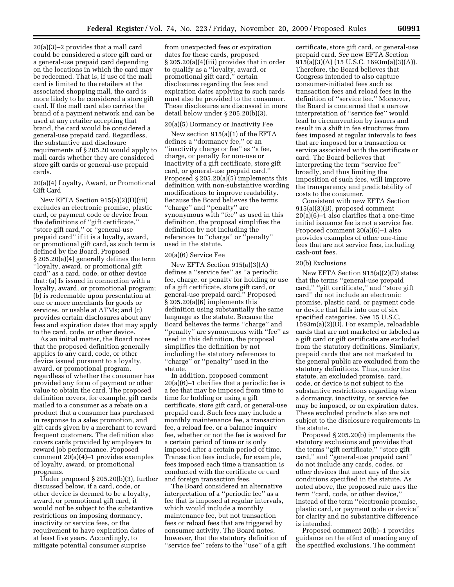20(a)(3)–2 provides that a mall card could be considered a store gift card or a general-use prepaid card depending on the locations in which the card may be redeemed. That is, if use of the mall card is limited to the retailers at the associated shopping mall, the card is more likely to be considered a store gift card. If the mall card also carries the brand of a payment network and can be used at any retailer accepting that brand, the card would be considered a general-use prepaid card. Regardless, the substantive and disclosure requirements of § 205.20 would apply to mall cards whether they are considered store gift cards or general-use prepaid cards.

20(a)(4) Loyalty, Award, or Promotional Gift Card

New EFTA Section 915(a)(2)(D)(iii) excludes an electronic promise, plastic card, or payment code or device from the definitions of ''gift certificate,'' ''store gift card,'' or ''general-use prepaid card'' if it is a loyalty, award, or promotional gift card, as such term is defined by the Board. Proposed § 205.20(a)(4) generally defines the term ''loyalty, award, or promotional gift card'' as a card, code, or other device that: (a) Is issued in connection with a loyalty, award, or promotional program; (b) is redeemable upon presentation at one or more merchants for goods or services, or usable at ATMs; and (c) provides certain disclosures about any fees and expiration dates that may apply to the card, code, or other device.

As an initial matter, the Board notes that the proposed definition generally applies to any card, code, or other device issued pursuant to a loyalty, award, or promotional program, regardless of whether the consumer has provided any form of payment or other value to obtain the card. The proposed definition covers, for example, gift cards mailed to a consumer as a rebate on a product that a consumer has purchased in response to a sales promotion, and gift cards given by a merchant to reward frequent customers. The definition also covers cards provided by employers to reward job performance. Proposed comment 20(a)(4)–1 provides examples of loyalty, award, or promotional programs.

Under proposed § 205.20(b)(3), further discussed below, if a card, code, or other device is deemed to be a loyalty, award, or promotional gift card, it would not be subject to the substantive restrictions on imposing dormancy, inactivity or service fees, or the requirement to have expiration dates of at least five years. Accordingly, to mitigate potential consumer surprise

from unexpected fees or expiration dates for these cards, proposed § 205.20(a)(4)(iii) provides that in order to qualify as a ''loyalty, award, or promotional gift card,'' certain disclosures regarding the fees and expiration dates applying to such cards must also be provided to the consumer. These disclosures are discussed in more detail below under § 205.20(b)(3).

#### 20(a)(5) Dormancy or Inactivity Fee

New section 915(a)(1) of the EFTA defines a ''dormancy fee,'' or an ''inactivity charge or fee'' as ''a fee, charge, or penalty for non-use or inactivity of a gift certificate, store gift card, or general-use prepaid card.'' Proposed  $\S 205.20(a)(5)$  implements this definition with non-substantive wording modifications to improve readability. Because the Board believes the terms ''charge'' and ''penalty'' are synonymous with ''fee'' as used in this definition, the proposal simplifies the definition by not including the references to ''charge'' or ''penalty'' used in the statute.

# 20(a)(6) Service Fee

New EFTA Section 915(a)(3)(A) defines a ''service fee'' as ''a periodic fee, charge, or penalty for holding or use of a gift certificate, store gift card, or general-use prepaid card.'' Proposed § 205.20(a)(6) implements this definition using substantially the same language as the statute. Because the Board believes the terms ''charge'' and ''penalty'' are synonymous with ''fee'' as used in this definition, the proposal simplifies the definition by not including the statutory references to ''charge'' or ''penalty'' used in the statute.

In addition, proposed comment 20(a)(6)–1 clarifies that a periodic fee is a fee that may be imposed from time to time for holding or using a gift certificate, store gift card, or general-use prepaid card. Such fees may include a monthly maintenance fee, a transaction fee, a reload fee, or a balance inquiry fee, whether or not the fee is waived for a certain period of time or is only imposed after a certain period of time. Transaction fees include, for example, fees imposed each time a transaction is conducted with the certificate or card and foreign transaction fees.

The Board considered an alternative interpretation of a ''periodic fee'' as a fee that is imposed at regular intervals, which would include a monthly maintenance fee, but not transaction fees or reload fees that are triggered by consumer activity. The Board notes, however, that the statutory definition of ''service fee'' refers to the ''use'' of a gift

certificate, store gift card, or general-use prepaid card. *See* new EFTA Section 915(a)(3)(A) (15 U.S.C. 1693m(a)(3)(A)). Therefore, the Board believes that Congress intended to also capture consumer-initiated fees such as transaction fees and reload fees in the definition of ''service fee.'' Moreover, the Board is concerned that a narrow interpretation of ''service fee'' would lead to circumvention by issuers and result in a shift in fee structures from fees imposed at regular intervals to fees that are imposed for a transaction or service associated with the certificate or card. The Board believes that interpreting the term ''service fee'' broadly, and thus limiting the imposition of such fees, will improve the transparency and predictability of costs to the consumer.

Consistent with new EFTA Section 915(a)(3)(B), proposed comment 20(a)(6)–1 also clarifies that a one-time initial issuance fee is not a service fee. Proposed comment 20(a)(6)–1 also provides examples of other one-time fees that are not service fees, including cash-out fees.

# 20(b) Exclusions

New EFTA Section 915(a)(2)(D) states that the terms ''general-use prepaid card," "gift certificate," and "store gift card'' do not include an electronic promise, plastic card, or payment code or device that falls into one of six specified categories. *See* 15 U.S.C. 1593m(a)(2)(D). For example, reloadable cards that are not marketed or labeled as a gift card or gift certificate are excluded from the statutory definitions. Similarly, prepaid cards that are not marketed to the general public are excluded from the statutory definitions. Thus, under the statute, an excluded promise, card, code, or device is not subject to the substantive restrictions regarding when a dormancy, inactivity, or service fee may be imposed, or on expiration dates. These excluded products also are not subject to the disclosure requirements in the statute.

Proposed § 205.20(b) implements the statutory exclusions and provides that the terms ''gift certificate,'' ''store gift card,'' and ''general-use prepaid card'' do not include any cards, codes, or other devices that meet any of the six conditions specified in the statute. As noted above, the proposed rule uses the term ''card, code, or other device,'' instead of the term ''electronic promise, plastic card, or payment code or device'' for clarity and no substantive difference is intended.

Proposed comment 20(b)–1 provides guidance on the effect of meeting any of the specified exclusions. The comment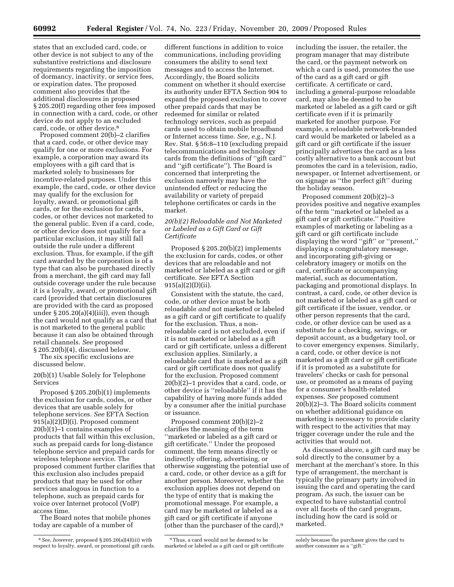states that an excluded card, code, or other device is not subject to any of the substantive restrictions and disclosure requirements regarding the imposition of dormancy, inactivity, or service fees, or expiration dates. The proposed comment also provides that the additional disclosures in proposed § 205.20(f) regarding other fees imposed in connection with a card, code, or other device do not apply to an excluded card, code, or other device.8

Proposed comment 20(b)–2 clarifies that a card, code, or other device may qualify for one or more exclusions. For example, a corporation may award its employees with a gift card that is marketed solely to businesses for incentive-related purposes. Under this example, the card, code, or other device may qualify for the exclusion for loyalty, award, or promotional gift cards, or for the exclusion for cards, codes, or other devices not marketed to the general public. Even if a card, code, or other device does not qualify for a particular exclusion, it may still fall outside the rule under a different exclusion. Thus, for example, if the gift card awarded by the corporation is of a type that can also be purchased directly from a merchant, the gift card may fall outside coverage under the rule because it is a loyalty, award, or promotional gift card (provided that certain disclosures are provided with the card as proposed under  $\S 205.20(a)(4)(iii)$ , even though the card would not qualify as a card that is not marketed to the general public because it can also be obtained through retail channels. *See* proposed § 205.20(b)(4), discussed below.

The six specific exclusions are discussed below.

# 20(b)(1) Usable Solely for Telephone Services

Proposed § 205.20(b)(1) implements the exclusion for cards, codes, or other devices that are usable solely for telephone services. *See* EFTA Section 915(a)(2)(D)(i). Proposed comment 20(b)(1)–1 contains examples of products that fall within this exclusion, such as prepaid cards for long-distance telephone service and prepaid cards for wireless telephone service. The proposed comment further clarifies that this exclusion also includes prepaid products that may be used for other services analogous in function to a telephone, such as prepaid cards for voice over Internet protocol (VoIP) access time.

The Board notes that mobile phones today are capable of a number of

different functions in addition to voice communications, including providing consumers the ability to send text messages and to access the Internet. Accordingly, the Board solicits comment on whether it should exercise its authority under EFTA Section 904 to expand the proposed exclusion to cover other prepaid cards that may be redeemed for similar or related technology services, such as prepaid cards used to obtain mobile broadband or Internet access time. *See, e.g.,* N.J. Rev. Stat. § 56:8–110 (excluding prepaid telecommunications and technology cards from the definitions of ''gift card'' and ''gift certificate''). The Board is concerned that interpreting the exclusion narrowly may have the unintended effect or reducing the availability or variety of prepaid telephone certificates or cards in the market.

# *20(b)(2) Reloadable and Not Marketed or Labeled as a Gift Card or Gift Certificate*

Proposed § 205.20(b)(2) implements the exclusion for cards, codes, or other devices that are reloadable and not marketed or labeled as a gift card or gift certificate. *See* EFTA Section 915(a)(2)(D)(ii).

Consistent with the statute, the card, code, or other device must be both reloadable *and* not marketed or labeled as a gift card or gift certificate to qualify for the exclusion. Thus, a nonreloadable card is not excluded, even if it is not marketed or labeled as a gift card or gift certificate, unless a different exclusion applies. Similarly, a reloadable card that is marketed as a gift card or gift certificate does not qualify for the exclusion. Proposed comment 20(b)(2)–1 provides that a card, code, or other device is ''reloadable'' if it has the capability of having more funds added by a consumer after the initial purchase or issuance.

Proposed comment 20(b)(2)–2 clarifies the meaning of the term ''marketed or labeled as a gift card or gift certificate.'' Under the proposed comment, the term means directly or indirectly offering, advertising, or otherwise suggesting the potential use of a card, code, or other device as a gift for another person. Moreover, whether the exclusion applies does not depend on the type of entity that is making the promotional message. For example, a card may be marketed or labeled as a gift card or gift certificate if anyone (other than the purchaser of the card),9

9Thus, a card would not be deemed to be marketed or labeled as a gift card or gift certificate including the issuer, the retailer, the program manager that may distribute the card, or the payment network on which a card is used, promotes the use of the card as a gift card or gift certificate. A certificate or card, including a general-purpose reloadable card, may also be deemed to be marketed or labeled as a gift card or gift certificate even if it is primarily marketed for another purpose. For example, a reloadable network-branded card would be marketed or labeled as a gift card or gift certificate if the issuer principally advertises the card as a less costly alternative to a bank account but promotes the card in a television, radio, newspaper, or Internet advertisement, or on signage as ''the perfect gift'' during the holiday season.

Proposed comment 20(b)(2)–3 provides positive and negative examples of the term ''marketed or labeled as a gift card or gift certificate.'' Positive examples of marketing or labeling as a gift card or gift certificate include displaying the word ''gift'' or ''present,'' displaying a congratulatory message, and incorporating gift-giving or celebratory imagery or motifs on the card, certificate or accompanying material, such as documentation, packaging and promotional displays. In contrast, a card, code, or other device is not marketed or labeled as a gift card or gift certificate if the issuer, vendor, or other person represents that the card, code, or other device can be used as a substitute for a checking, savings, or deposit account, as a budgetary tool, or to cover emergency expenses. Similarly, a card, code, or other device is not marketed as a gift card or gift certificate if it is promoted as a substitute for travelers' checks or cash for personal use, or promoted as a means of paying for a consumer's health-related expenses. *See* proposed comment 20(b)(2)–3. The Board solicits comment on whether additional guidance on marketing is necessary to provide clarity with respect to the activities that may trigger coverage under the rule and the activities that would not.

As discussed above, a gift card may be sold directly to the consumer by a merchant at the merchant's store. In this type of arrangement, the merchant is typically the primary party involved in issuing the card and operating the card program. As such, the issuer can be expected to have substantial control over all facets of the card program, including how the card is sold or marketed.

<sup>8</sup>*See, however,* proposed § 205.20(a)(4)(iii) with respect to loyalty, award, or promotional gift cards.

solely because the purchaser gives the card to another consumer as a ''gift.''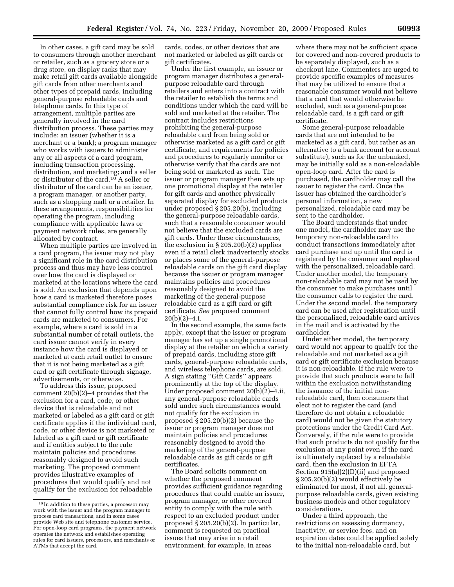In other cases, a gift card may be sold to consumers through another merchant or retailer, such as a grocery store or a drug store, on display racks that may make retail gift cards available alongside gift cards from other merchants and other types of prepaid cards, including general-purpose reloadable cards and telephone cards. In this type of arrangement, multiple parties are generally involved in the card distribution process. These parties may include: an issuer (whether it is a merchant or a bank); a program manager who works with issuers to administer any or all aspects of a card program, including transaction processing, distribution, and marketing; and a seller or distributor of the card.10 A seller or distributor of the card can be an issuer, a program manager, or another party, such as a shopping mall or a retailer. In these arrangements, responsibilities for operating the program, including compliance with applicable laws or payment network rules, are generally allocated by contract.

When multiple parties are involved in a card program, the issuer may not play a significant role in the card distribution process and thus may have less control over how the card is displayed or marketed at the locations where the card is sold. An exclusion that depends upon how a card is marketed therefore poses substantial compliance risk for an issuer that cannot fully control how its prepaid cards are marketed to consumers. For example, where a card is sold in a substantial number of retail outlets, the card issuer cannot verify in every instance how the card is displayed or marketed at each retail outlet to ensure that it is not being marketed as a gift card or gift certificate through signage, advertisements, or otherwise.

To address this issue, proposed comment 20(b)(2)–4 provides that the exclusion for a card, code, or other device that is reloadable and not marketed or labeled as a gift card or gift certificate applies if the individual card, code, or other device is not marketed or labeled as a gift card or gift certificate and if entities subject to the rule maintain policies and procedures reasonably designed to avoid such marketing. The proposed comment provides illustrative examples of procedures that would qualify and not qualify for the exclusion for reloadable

cards, codes, or other devices that are not marketed or labeled as gift cards or gift certificates.

Under the first example, an issuer or program manager distributes a generalpurpose reloadable card through retailers and enters into a contract with the retailer to establish the terms and conditions under which the card will be sold and marketed at the retailer. The contract includes restrictions prohibiting the general-purpose reloadable card from being sold or otherwise marketed as a gift card or gift certificate, and requirements for policies and procedures to regularly monitor or otherwise verify that the cards are not being sold or marketed as such. The issuer or program manager then sets up one promotional display at the retailer for gift cards and another physically separated display for excluded products under proposed § 205.20(b), including the general-purpose reloadable cards, such that a reasonable consumer would not believe that the excluded cards are gift cards. Under these circumstances, the exclusion in  $\S 205.20(b)(2)$  applies even if a retail clerk inadvertently stocks or places some of the general-purpose reloadable cards on the gift card display because the issuer or program manager maintains policies and procedures reasonably designed to avoid the marketing of the general-purpose reloadable card as a gift card or gift certificate. *See* proposed comment 20(b)(2)–4.i.

In the second example, the same facts apply, except that the issuer or program manager has set up a single promotional display at the retailer on which a variety of prepaid cards, including store gift cards, general-purpose reloadable cards, and wireless telephone cards, are sold. A sign stating ''Gift Cards'' appears prominently at the top of the display. Under proposed comment 20(b)(2)–4.ii, any general-purpose reloadable cards sold under such circumstances would not qualify for the exclusion in proposed § 205.20(b)(2) because the issuer or program manager does not maintain policies and procedures reasonably designed to avoid the marketing of the general-purpose reloadable cards as gift cards or gift certificates.

The Board solicits comment on whether the proposed comment provides sufficient guidance regarding procedures that could enable an issuer, program manager, or other covered entity to comply with the rule with respect to an excluded product under proposed § 205.20(b)(2). In particular, comment is requested on practical issues that may arise in a retail environment, for example, in areas

where there may not be sufficient space for covered and non-covered products to be separately displayed, such as a checkout lane. Commenters are urged to provide specific examples of measures that may be utilized to ensure that a reasonable consumer would not believe that a card that would otherwise be excluded, such as a general-purpose reloadable card, is a gift card or gift certificate.

Some general-purpose reloadable cards that are not intended to be marketed as a gift card, but rather as an alternative to a bank account (or account substitute), such as for the unbanked, may be initially sold as a non-reloadable open-loop card. After the card is purchased, the cardholder may call the issuer to register the card. Once the issuer has obtained the cardholder's personal information, a new personalized, reloadable card may be sent to the cardholder.

The Board understands that under one model, the cardholder may use the temporary non-reloadable card to conduct transactions immediately after card purchase and up until the card is registered by the consumer and replaced with the personalized, reloadable card. Under another model, the temporary non-reloadable card may not be used by the consumer to make purchases until the consumer calls to register the card. Under the second model, the temporary card can be used after registration until the personalized, reloadable card arrives in the mail and is activated by the cardholder.

Under either model, the temporary card would not appear to qualify for the reloadable and not marketed as a gift card or gift certificate exclusion because it is non-reloadable. If the rule were to provide that such products were to fall within the exclusion notwithstanding the issuance of the initial nonreloadable card, then consumers that elect not to register the card (and therefore do not obtain a reloadable card) would not be given the statutory protections under the Credit Card Act. Conversely, if the rule were to provide that such products do not qualify for the exclusion at any point even if the card is ultimately replaced by a reloadable card, then the exclusion in EFTA Section 915(a)(2)(D)(ii) and proposed § 205.20(b)(2) would effectively be eliminated for most, if not all, generalpurpose reloadable cards, given existing business models and other regulatory considerations.

Under a third approach, the restrictions on assessing dormancy, inactivity, or service fees, and on expiration dates could be applied solely to the initial non-reloadable card, but

<sup>10</sup> In addition to these parties, a processor may work with the issuer and the program manager to process card transactions, and in some cases provide Web site and telephone customer service. For open-loop card programs, the payment network operates the network and establishes operating rules for card issuers, processors, and merchants or ATMs that accept the card.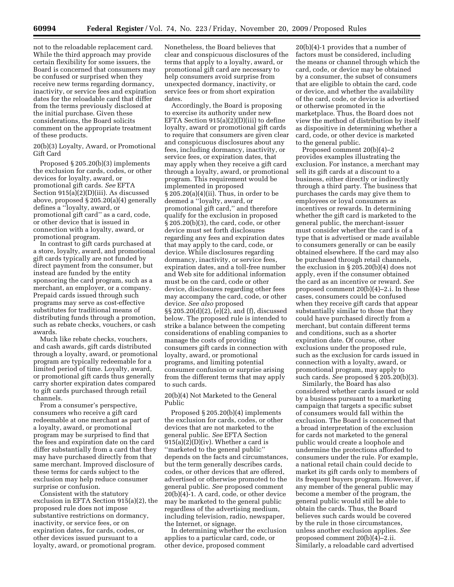not to the reloadable replacement card. While the third approach may provide certain flexibility for some issuers, the Board is concerned that consumers may be confused or surprised when they receive new terms regarding dormancy, inactivity, or service fees and expiration dates for the reloadable card that differ from the terms previously disclosed at the initial purchase. Given these considerations, the Board solicits comment on the appropriate treatment of these products.

20(b)(3) Loyalty, Award, or Promotional Gift Card

Proposed § 205.20(b)(3) implements the exclusion for cards, codes, or other devices for loyalty, award, or promotional gift cards. *See* EFTA Section 915(a)(2)(D)(iii). As discussed above, proposed § 205.20(a)(4) generally defines a ''loyalty, award, or promotional gift card'' as a card, code, or other device that is issued in connection with a loyalty, award, or promotional program.

In contrast to gift cards purchased at a store, loyalty, award, and promotional gift cards typically are not funded by direct payment from the consumer, but instead are funded by the entity sponsoring the card program, such as a merchant, an employer, or a company. Prepaid cards issued through such programs may serve as cost-effective substitutes for traditional means of distributing funds through a promotion, such as rebate checks, vouchers, or cash awards.

Much like rebate checks, vouchers, and cash awards, gift cards distributed through a loyalty, award, or promotional program are typically redeemable for a limited period of time. Loyalty, award, or promotional gift cards thus generally carry shorter expiration dates compared to gift cards purchased through retail channels.

From a consumer's perspective, consumers who receive a gift card redeemable at one merchant as part of a loyalty, award, or promotional program may be surprised to find that the fees and expiration date on the card differ substantially from a card that they may have purchased directly from that same merchant. Improved disclosure of these terms for cards subject to the exclusion may help reduce consumer surprise or confusion.

Consistent with the statutory exclusion in EFTA Section 915(a)(2), the proposed rule does not impose substantive restrictions on dormancy, inactivity, or service fees, or on expiration dates, for cards, codes, or other devices issued pursuant to a loyalty, award, or promotional program.

Nonetheless, the Board believes that clear and conspicuous disclosures of the terms that apply to a loyalty, award, or promotional gift card are necessary to help consumers avoid surprise from unexpected dormancy, inactivity, or service fees or from short expiration dates.

Accordingly, the Board is proposing to exercise its authority under new EFTA Section 915(a)(2)(D)(iii) to define loyalty, award or promotional gift cards to require that consumers are given clear and conspicuous disclosures about any fees, including dormancy, inactivity, or service fees, or expiration dates, that may apply when they receive a gift card through a loyalty, award, or promotional program. This requirement would be implemented in proposed § 205.20(a)(4)(ii). Thus, in order to be deemed a ''loyalty, award, or promotional gift card,'' and therefore qualify for the exclusion in proposed § 205.20(b)(3), the card, code, or other device must set forth disclosures regarding any fees and expiration dates that may apply to the card, code, or device. While disclosures regarding dormancy, inactivity, or service fees, expiration dates, and a toll-free number and Web site for additional information must be on the card, code or other device, disclosures regarding other fees may accompany the card, code, or other device. *See also* proposed §§ 205.20(d)(2), (e)(2), and (f), discussed below. The proposed rule is intended to strike a balance between the competing considerations of enabling companies to manage the costs of providing consumers gift cards in connection with loyalty, award, or promotional programs, and limiting potential consumer confusion or surprise arising from the different terms that may apply to such cards.

20(b)(4) Not Marketed to the General Public

Proposed § 205.20(b)(4) implements the exclusion for cards, codes, or other devices that are not marketed to the general public. *See* EFTA Section  $915(a)(2)(D)(iv)$ . Whether a card is ''marketed to the general public'' depends on the facts and circumstances, but the term generally describes cards, codes, or other devices that are offered, advertised or otherwise promoted to the general public. *See* proposed comment 20(b)(4)-1. A card, code, or other device may be marketed to the general public regardless of the advertising medium, including television, radio, newspaper, the Internet, or signage.

In determining whether the exclusion applies to a particular card, code, or other device, proposed comment

20(b)(4)-1 provides that a number of factors must be considered, including the means or channel through which the card, code, or device may be obtained by a consumer, the subset of consumers that are eligible to obtain the card, code or device, and whether the availability of the card, code, or device is advertised or otherwise promoted in the marketplace. Thus, the Board does not view the method of distribution by itself as dispositive in determining whether a card, code, or other device is marketed to the general public.

Proposed comment 20(b)(4)–2 provides examples illustrating the exclusion. For instance, a merchant may sell its gift cards at a discount to a business, either directly or indirectly through a third party. The business that purchases the cards may give them to employees or loyal consumers as incentives or rewards. In determining whether the gift card is marketed to the general public, the merchant-issuer must consider whether the card is of a type that is advertised or made available to consumers generally or can be easily obtained elsewhere. If the card may also be purchased through retail channels, the exclusion in § 205.20(b)(4) does not apply, even if the consumer obtained the card as an incentive or reward. *See*  proposed comment 20(b)(4)–2.i. In these cases, consumers could be confused when they receive gift cards that appear substantially similar to those that they could have purchased directly from a merchant, but contain different terms and conditions, such as a shorter expiration date. Of course, other exclusions under the proposed rule, such as the exclusion for cards issued in connection with a loyalty, award, or promotional program, may apply to such cards. *See* proposed § 205.20(b)(3).

Similarly, the Board has also considered whether cards issued or sold by a business pursuant to a marketing campaign that targets a specific subset of consumers would fall within the exclusion. The Board is concerned that a broad interpretation of the exclusion for cards not marketed to the general public would create a loophole and undermine the protections afforded to consumers under the rule. For example, a national retail chain could decide to market its gift cards only to members of its frequent buyers program. However, if any member of the general public may become a member of the program, the general public would still be able to obtain the cards. Thus, the Board believes such cards would be covered by the rule in those circumstances, unless another exclusion applies. *See*  proposed comment 20(b)(4)–2.ii. Similarly, a reloadable card advertised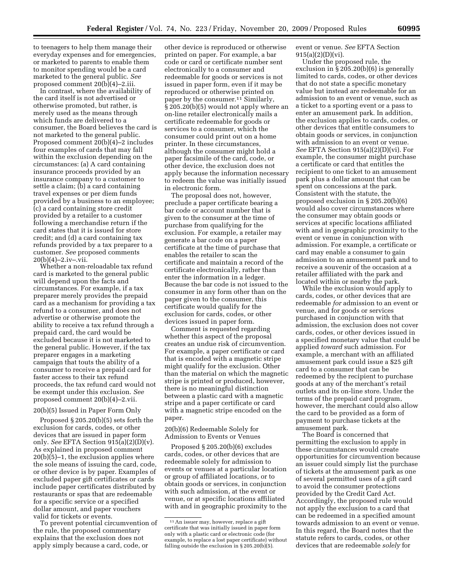to teenagers to help them manage their everyday expenses and for emergencies, or marketed to parents to enable them to monitor spending would be a card marketed to the general public. *See*  proposed comment  $20(b)(4)-2.1i$ i.

In contrast, where the availability of the card itself is not advertised or otherwise promoted, but rather, is merely used as the means through which funds are delivered to a consumer, the Board believes the card is not marketed to the general public. Proposed comment 20(b)(4)–2 includes four examples of cards that may fall within the exclusion depending on the circumstances: (a) A card containing insurance proceeds provided by an insurance company to a customer to settle a claim; (b) a card containing travel expenses or per diem funds provided by a business to an employee; (c) a card containing store credit provided by a retailer to a customer following a merchandise return if the card states that it is issued for store credit; and (d) a card containing tax refunds provided by a tax preparer to a customer. *See* proposed comments  $20(b)(4)-2.iv-xii.$ 

Whether a non-reloadable tax refund card is marketed to the general public will depend upon the facts and circumstances. For example, if a tax preparer merely provides the prepaid card as a mechanism for providing a tax refund to a consumer, and does not advertise or otherwise promote the ability to receive a tax refund through a prepaid card, the card would be excluded because it is not marketed to the general public. However, if the tax preparer engages in a marketing campaign that touts the ability of a consumer to receive a prepaid card for faster access to their tax refund proceeds, the tax refund card would not be exempt under this exclusion. *See*  proposed comment 20(b)(4)–2.vii.

# 20(b)(5) Issued in Paper Form Only

Proposed § 205.20(b)(5) sets forth the exclusion for cards, codes, or other devices that are issued in paper form only. *See* EFTA Section 915(a)(2)(D)(v). As explained in proposed comment 20(b)(5)–1, the exclusion applies where the sole means of issuing the card, code, or other device is by paper. Examples of excluded paper gift certificates or cards include paper certificates distributed by restaurants or spas that are redeemable for a specific service or a specified dollar amount, and paper vouchers valid for tickets or events.

To prevent potential circumvention of the rule, the proposed commentary explains that the exclusion does not apply simply because a card, code, or

other device is reproduced or otherwise printed on paper. For example, a bar code or card or certificate number sent electronically to a consumer and redeemable for goods or services is not issued in paper form, even if it may be reproduced or otherwise printed on paper by the consumer.11 Similarly, § 205.20(b)(5) would not apply where an on-line retailer electronically mails a certificate redeemable for goods or services to a consumer, which the consumer could print out on a home printer. In these circumstances, although the consumer might hold a paper facsimile of the card, code, or other device, the exclusion does not apply because the information necessary to redeem the value was initially issued in electronic form.

The proposal does not, however, preclude a paper certificate bearing a bar code or account number that is given to the consumer at the time of purchase from qualifying for the exclusion. For example, a retailer may generate a bar code on a paper certificate at the time of purchase that enables the retailer to scan the certificate and maintain a record of the certificate electronically, rather than enter the information in a ledger. Because the bar code is not issued to the consumer in any form other than on the paper given to the consumer, this certificate would qualify for the exclusion for cards, codes, or other devices issued in paper form.

Comment is requested regarding whether this aspect of the proposal creates an undue risk of circumvention. For example, a paper certificate or card that is encoded with a magnetic stripe might qualify for the exclusion. Other than the material on which the magnetic stripe is printed or produced, however, there is no meaningful distinction between a plastic card with a magnetic stripe and a paper certificate or card with a magnetic stripe encoded on the paper.

# 20(b)(6) Redeemable Solely for Admission to Events or Venues

Proposed § 205.20(b)(6) excludes cards, codes, or other devices that are redeemable solely for admission to events or venues at a particular location or group of affiliated locations, or to obtain goods or services, in conjunction with such admission, at the event or venue, or at specific locations affiliated with and in geographic proximity to the event or venue. *See* EFTA Section 915(a)(2)(D)(vi).

Under the proposed rule, the exclusion in § 205.20(b)(6) is generally limited to cards, codes, or other devices that do not state a specific monetary value but instead are redeemable for an admission to an event or venue, such as a ticket to a sporting event or a pass to enter an amusement park. In addition, the exclusion applies to cards, codes, or other devices that entitle consumers to obtain goods or services, in conjunction with admission to an event or venue. *See* EFTA Section 915(a)(2)(D)(vi). For example, the consumer might purchase a certificate or card that entitles the recipient to one ticket to an amusement park plus a dollar amount that can be spent on concessions at the park. Consistent with the statute, the proposed exclusion in § 205.20(b)(6) would also cover circumstances where the consumer may obtain goods or services at specific locations affiliated with and in geographic proximity to the event or venue in conjunction with admission. For example, a certificate or card may enable a consumer to gain admission to an amusement park and to receive a souvenir of the occasion at a retailer affiliated with the park and located within or nearby the park.

While the exclusion would apply to cards, codes, or other devices that are redeemable *for* admission to an event or venue, and for goods or services purchased in conjunction with that admission, the exclusion does not cover cards, codes, or other devices issued in a specified monetary value that could be applied *toward* such admission. For example, a merchant with an affiliated amusement park could issue a \$25 gift card to a consumer that can be redeemed by the recipient to purchase goods at any of the merchant's retail outlets and its on-line store. Under the terms of the prepaid card program, however, the merchant could also allow the card to be provided as a form of payment to purchase tickets at the amusement park.

The Board is concerned that permitting the exclusion to apply in these circumstances would create opportunities for circumvention because an issuer could simply list the purchase of tickets at the amusement park as one of several permitted uses of a gift card to avoid the consumer protections provided by the Credit Card Act. Accordingly, the proposed rule would not apply the exclusion to a card that can be redeemed in a specified amount towards admission to an event or venue. In this regard, the Board notes that the statute refers to cards, codes, or other devices that are redeemable *solely* for

<sup>11</sup>An issuer may, however, replace a gift certificate that was initially issued in paper form only with a plastic card or electronic code (for example, to replace a lost paper certificate) without falling outside the exclusion in § 205.20(b)(5).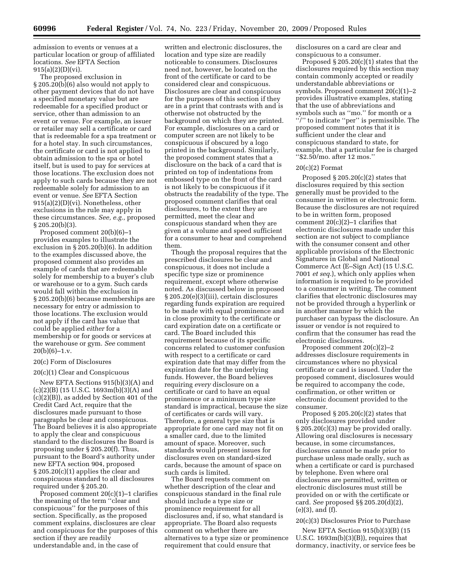admission to events or venues at a particular location or group of affiliated locations. *See* EFTA Section  $915(a)(2)(D)(vi)$ .

The proposed exclusion in § 205.20(b)(6) also would not apply to other payment devices that do not have a specified monetary value but are redeemable for a specified product or service, other than admission to an event or venue. For example, an issuer or retailer may sell a certificate or card that is redeemable for a spa treatment or for a hotel stay. In such circumstances, the certificate or card is not applied to obtain admission to the spa or hotel itself, but is used to pay for services at those locations. The exclusion does not apply to such cards because they are not redeemable solely for admission to an event or venue. *See* EFTA Section 915(a)(2)(D)(vi). Nonetheless, other exclusions in the rule may apply in these circumstances. *See, e.g.,* proposed § 205.20(b)(3).

Proposed comment 20(b)(6)–1 provides examples to illustrate the exclusion in § 205.20(b)(6). In addition to the examples discussed above, the proposed comment also provides an example of cards that are redeemable solely for membership to a buyer's club or warehouse or to a gym. Such cards would fall within the exclusion in § 205.20(b)(6) because memberships are necessary for entry or admission to those locations. The exclusion would not apply if the card has value that could be applied *either* for a membership or for goods or services at the warehouse or gym. *See* comment  $20(b)(6)-1.v.$ 

# 20(c) Form of Disclosures

#### 20(c)(1) Clear and Conspicuous

New EFTA Sections 915(b)(3)(A) and (c)(2)(B) (15 U.S.C. 1693m(b)(3)(A) and (c)(2)(B)), as added by Section 401 of the Credit Card Act, require that the disclosures made pursuant to those paragraphs be clear and conspicuous. The Board believes it is also appropriate to apply the clear and conspicuous standard to the disclosures the Board is proposing under § 205.20(f). Thus, pursuant to the Board's authority under new EFTA section 904, proposed § 205.20(c)(1) applies the clear and conspicuous standard to all disclosures required under § 205.20.

Proposed comment 20(c)(1)–1 clarifies the meaning of the term ''clear and conspicuous'' for the purposes of this section. Specifically, as the proposed comment explains, disclosures are clear and conspicuous for the purposes of this section if they are readily understandable and, in the case of

written and electronic disclosures, the location and type size are readily noticeable to consumers. Disclosures need not, however, be located on the front of the certificate or card to be considered clear and conspicuous. Disclosures are clear and conspicuous for the purposes of this section if they are in a print that contrasts with and is otherwise not obstructed by the background on which they are printed. For example, disclosures on a card or computer screen are not likely to be conspicuous if obscured by a logo printed in the background. Similarly, the proposed comment states that a disclosure on the back of a card that is printed on top of indentations from embossed type on the front of the card is not likely to be conspicuous if it obstructs the readability of the type. The proposed comment clarifies that oral disclosures, to the extent they are permitted, meet the clear and conspicuous standard when they are given at a volume and speed sufficient for a consumer to hear and comprehend them.

Though the proposal requires that the prescribed disclosures be clear and conspicuous, it does not include a specific type size or prominence requirement, except where otherwise noted. As discussed below in proposed § 205.20(e)(3)(iii), certain disclosures regarding funds expiration are required to be made with equal prominence and in close proximity to the certificate or card expiration date on a certificate or card. The Board included this requirement because of its specific concerns related to customer confusion with respect to a certificate or card expiration date that may differ from the expiration date for the underlying funds. However, the Board believes requiring *every* disclosure on a certificate or card to have an equal prominence or a minimum type size standard is impractical, because the size of certificates or cards will vary. Therefore, a general type size that is appropriate for one card may not fit on a smaller card, due to the limited amount of space. Moreover, such standards would present issues for disclosures even on standard-sized cards, because the amount of space on such cards is limited.

The Board requests comment on whether description of the clear and conspicuous standard in the final rule should include a type size or prominence requirement for all disclosures and, if so, what standard is appropriate. The Board also requests comment on whether there are alternatives to a type size or prominence requirement that could ensure that

disclosures on a card are clear and conspicuous to a consumer.

Proposed  $\S 205.20(c)(1)$  states that the disclosures required by this section may contain commonly accepted or readily understandable abbreviations or symbols. Proposed comment 20(c)(1)–2 provides illustrative examples, stating that the use of abbreviations and symbols such as ''mo.'' for month or a ''/'' to indicate ''per'' is permissible. The proposed comment notes that it is sufficient under the clear and conspicuous standard to state, for example, that a particular fee is charged ''\$2.50/mo. after 12 mos.''

# 20(c)(2) Format

Proposed  $\S 205.20(c)(2)$  states that disclosures required by this section generally must be provided to the consumer in written or electronic form. Because the disclosures are not required to be in written form, proposed comment 20(c)(2)–1 clarifies that electronic disclosures made under this section are not subject to compliance with the consumer consent and other applicable provisions of the Electronic Signatures in Global and National Commerce Act (E–Sign Act) (15 U.S.C. 7001 *et seq.*), which only applies when information is required to be provided to a consumer in writing. The comment clarifies that electronic disclosures may not be provided through a hyperlink or in another manner by which the purchaser can bypass the disclosure. An issuer or vendor is not required to confirm that the consumer has read the electronic disclosures.

Proposed comment 20(c)(2)–2 addresses disclosure requirements in circumstances where no physical certificate or card is issued. Under the proposed comment, disclosures would be required to accompany the code, confirmation, or other written or electronic document provided to the consumer.

Proposed  $\S 205.20(c)(2)$  states that only disclosures provided under  $\S 205.20(c)(3)$  may be provided orally. Allowing oral disclosures is necessary because, in some circumstances, disclosures cannot be made prior to purchase unless made orally, such as when a certificate or card is purchased by telephone. Even where oral disclosures are permitted, written or electronic disclosures must still be provided on or with the certificate or card. *See* proposed §§ 205.20(d)(2), (e)(3), and (f).

# 20(c)(3) Disclosures Prior to Purchase

New EFTA Section 915(b)(3)(B) (15 U.S.C.  $1693m(b)(3)(B)$ , requires that dormancy, inactivity, or service fees be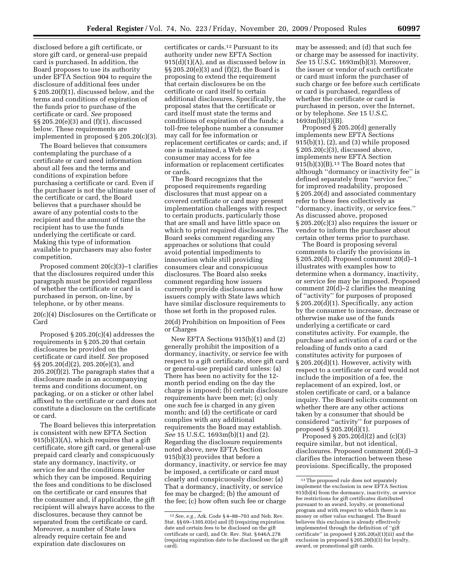disclosed before a gift certificate, or store gift card, or general-use prepaid card is purchased. In addition, the Board proposes to use its authority under EFTA Section 904 to require the disclosure of additional fees under § 205.20(f)(1), discussed below, and the terms and conditions of expiration of the funds prior to purchase of the certificate or card. *See* proposed §§ 205.20(e)(3) and (f)(1), discussed below. These requirements are implemented in proposed § 205.20(c)(3).

The Board believes that consumers contemplating the purchase of a certificate or card need information about all fees and the terms and conditions of expiration before purchasing a certificate or card. Even if the purchaser is not the ultimate user of the certificate or card, the Board believes that a purchaser should be aware of any potential costs to the recipient and the amount of time the recipient has to use the funds underlying the certificate or card. Making this type of information available to purchasers may also foster competition.

Proposed comment 20(c)(3)–1 clarifies that the disclosures required under this paragraph must be provided regardless of whether the certificate or card is purchased in person, on-line, by telephone, or by other means.

20(c)(4) Disclosures on the Certificate or Card

Proposed § 205.20(c)(4) addresses the requirements in § 205.20 that certain disclosures be provided on the certificate or card itself. *See* proposed §§ 205.20(d)(2), 205.20(e)(3), and  $205.20(f)(2)$ . The paragraph states that a disclosure made in an accompanying terms and conditions document, on packaging, or on a sticker or other label affixed to the certificate or card does not constitute a disclosure on the certificate or card.

The Board believes this interpretation is consistent with new EFTA Section 915(b)(3)(A), which requires that a gift certificate, store gift card, or general-use prepaid card clearly and conspicuously state any dormancy, inactivity, or service fee and the conditions under which they can be imposed. Requiring the fees and conditions to be disclosed on the certificate or card ensures that the consumer and, if applicable, the gift recipient will always have access to the disclosures, because they cannot be separated from the certificate or card. Moreover, a number of State laws already require certain fee and expiration date disclosures on

certificates or cards.12 Pursuant to its authority under new EFTA Section 915(d)(1)(A), and as discussed below in §§ 205.20(e)(3) and (f)(2), the Board is proposing to extend the requirement that certain disclosures be on the certificate or card itself to certain additional disclosures. Specifically, the proposal states that the certificate or card itself must state the terms and conditions of expiration of the funds; a toll-free telephone number a consumer may call for fee information or replacement certificates or cards; and, if one is maintained, a Web site a consumer may access for fee information or replacement certificates or cards.

The Board recognizes that the proposed requirements regarding disclosures that must appear on a covered certificate or card may present implementation challenges with respect to certain products, particularly those that are small and have little space on which to print required disclosures. The Board seeks comment regarding any approaches or solutions that could avoid potential impediments to innovation while still providing consumers clear and conspicuous disclosures. The Board also seeks comment regarding how issuers currently provide disclosures and how issuers comply with State laws which have similar disclosure requirements to those set forth in the proposed rules.

20(d) Prohibition on Imposition of Fees or Charges

New EFTA Sections 915(b)(1) and (2) generally prohibit the imposition of a dormancy, inactivity, or service fee with respect to a gift certificate, store gift card or general-use prepaid card unless: (a) There has been no activity for the 12 month period ending on the day the charge is imposed; (b) certain disclosure requirements have been met; (c) only one such fee is charged in any given month; and (d) the certificate or card complies with any additional requirements the Board may establish. *See* 15 U.S.C. 1693m(b)(1) and (2). Regarding the disclosure requirements noted above, new EFTA Section 915(b)(3) provides that before a dormancy, inactivity, or service fee may be imposed, a certificate or card must clearly and conspicuously disclose: (a) That a dormancy, inactivity, or service fee may be charged; (b) the amount of the fee; (c) how often such fee or charge

may be assessed; and (d) that such fee or charge may be assessed for inactivity. *See* 15 U.S.C. 1693m(b)(3). Moreover, the issuer or vendor of such certificate or card must inform the purchaser of such charge or fee before such certificate or card is purchased, regardless of whether the certificate or card is purchased in person, over the Internet, or by telephone. *See* 15 U.S.C. 1693m(b)(3)(B).

Proposed § 205.20(d) generally implements new EFTA Sections 915(b)(1), (2), and (3) while proposed § 205.20(c)(3), discussed above, implements new EFTA Section  $915(b)(3)(B).<sup>13</sup>$  The Board notes that although ''dormancy or inactivity fee'' is defined separately from ''service fee,'' for improved readability, proposed § 205.20(d) and associated commentary refer to these fees collectively as ''dormancy, inactivity, or service fees.'' As discussed above, proposed § 205.20(c)(3) also requires the issuer or vendor to inform the purchaser about certain other terms prior to purchase.

The Board is proposing several comments to clarify the provisions in § 205.20(d). Proposed comment 20(d)–1 illustrates with examples how to determine when a dormancy, inactivity, or service fee may be imposed. Proposed comment 20(d)–2 clarifies the meaning of ''activity'' for purposes of proposed § 205.20(d)(1). Specifically, any action by the consumer to increase, decrease or otherwise make use of the funds underlying a certificate or card constitutes activity. For example, the purchase and activation of a card or the reloading of funds onto a card constitutes activity for purposes of § 205.20(d)(1). However, activity with respect to a certificate or card would not include the imposition of a fee, the replacement of an expired, lost, or stolen certificate or card, or a balance inquiry. The Board solicits comment on whether there are any other actions taken by a consumer that should be considered ''activity'' for purposes of proposed  $\S 205.20(\dot{d})(1)$ .

Proposed § 205.20(d)(2) and (c)(3) require similar, but not identical, disclosures. Proposed comment 20(d)–3 clarifies the interaction between these provisions. Specifically, the proposed

<sup>12</sup>*See, e.g.,* Ark. Code § 4–88–703 and Neb. Rev. Stat. §§ 69–1305.03(e) and (f) (requiring expiration date and certain fees to be disclosed on the gift certificate or card), and Or. Rev. Stat. § 646A.278 (requiring expiration date to be disclosed on the gift card).

 $^{\rm 13}\!$  The proposed rule does not separately implement the exclusion in new EFTA Section 915(b)(4) from the dormancy, inactivity, or service fee restrictions for gift certificates distributed pursuant to an award, loyalty, or promotional program and with respect to which there is no money or other value exchanged. The Board believes this exclusion is already effectively implemented through the definition of ''gift certificate'' in proposed § 205.20(a)(1)(iii) and the exclusion in proposed § 205.20(b)(3) for loyalty, award, or promotional gift cards.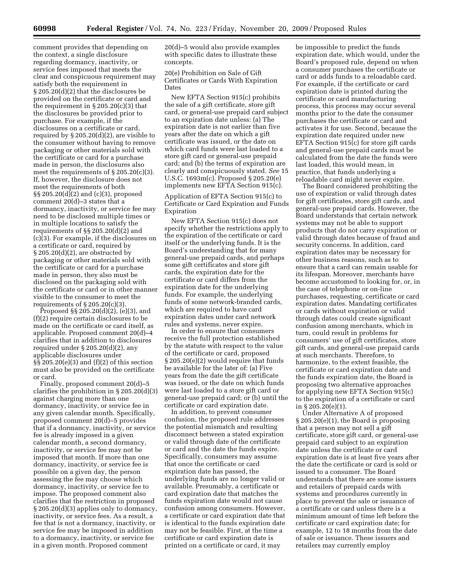comment provides that depending on the context, a single disclosure regarding dormancy, inactivity, or service fees imposed that meets the clear and conspicuous requirement may satisfy both the requirement in § 205.20(d)(2) that the disclosures be provided on the certificate or card and the requirement in  $\S 205.20(c)(3)$  that the disclosures be provided prior to purchase. For example, if the disclosures on a certificate or card, required by § 205.20(d)(2), are visible to the consumer without having to remove packaging or other materials sold with the certificate or card for a purchase made in person, the disclosures also meet the requirements of § 205.20(c)(3). If, however, the disclosure does not meet the requirements of both §§ 205.20(d)(2) and (c)(3), proposed comment 20(d)–3 states that a dormancy, inactivity, or service fee may need to be disclosed multiple times or in multiple locations to satisfy the requirements of §§ 205.20(d)(2) and (c)(3). For example, if the disclosures on a certificate or card, required by  $\S 205.20(d)(2)$ , are obstructed by packaging or other materials sold with the certificate or card for a purchase made in person, they also must be disclosed on the packaging sold with the certificate or card or in other manner visible to the consumer to meet the requirements of  $\S 205.20(c)(3)$ .

Proposed §§ 205.20(d)(2), (e)(3), and (f)(2) require certain disclosures to be made on the certificate or card itself, as applicable. Proposed comment 20(d)–4 clarifies that in addition to disclosures required under § 205.20(d)(2), any applicable disclosures under §§ 205.20(e)(3) and (f)(2) of this section must also be provided on the certificate or card.

Finally, proposed comment 20(d)–5 clarifies the prohibition in § 205.20(d)(3) against charging more than one dormancy, inactivity, or service fee in any given calendar month. Specifically, proposed comment 20(d)–5 provides that if a dormancy, inactivity, or service fee is already imposed in a given calendar month, a second dormancy, inactivity, or service fee may not be imposed that month. If more than one dormancy, inactivity, or service fee is possible on a given day, the person assessing the fee may choose which dormancy, inactivity, or service fee to impose. The proposed comment also clarifies that the restriction in proposed § 205.20(d)(3) applies only to dormancy, inactivity, or service fees. As a result, a fee that is not a dormancy, inactivity, or service fee may be imposed in addition to a dormancy, inactivity, or service fee in a given month. Proposed comment

20(d)–5 would also provide examples with specific dates to illustrate these concepts.

20(e) Prohibition on Sale of Gift Certificates or Cards With Expiration Dates

New EFTA Section 915(c) prohibits the sale of a gift certificate, store gift card, or general-use prepaid card subject to an expiration date unless: (a) The expiration date is not earlier than five years after the date on which a gift certificate was issued, or the date on which card funds were last loaded to a store gift card or general-use prepaid card; and (b) the terms of expiration are clearly and conspicuously stated. *See* 15 U.S.C. 1693m(c). Proposed § 205.20(e) implements new EFTA Section 915(c).

Application of EFTA Section 915(c) to Certificate or Card Expiration and Funds Expiration

New EFTA Section 915(c) does not specify whether the restrictions apply to the expiration of the certificate or card itself or the underlying funds. It is the Board's understanding that for many general-use prepaid cards, and perhaps some gift certificates and store gift cards, the expiration date for the certificate or card differs from the expiration date for the underlying funds. For example, the underlying funds of some network-branded cards, which are required to have card expiration dates under card network rules and systems, never expire.

In order to ensure that consumers receive the full protection established by the statute with respect to the value of the certificate or card, proposed § 205.20(e)(2) would require that funds be available for the later of: (a) Five years from the date the gift certificate was issued, or the date on which funds were last loaded to a store gift card or general-use prepaid card; or (b) until the certificate or card expiration date.

In addition, to prevent consumer confusion, the proposed rule addresses the potential mismatch and resulting disconnect between a stated expiration or valid through date of the certificate or card and the date the funds expire. Specifically, consumers may assume that once the certificate or card expiration date has passed, the underlying funds are no longer valid or available. Presumably, a certificate or card expiration date that matches the funds expiration date would not cause confusion among consumers. However, a certificate or card expiration date that is identical to the funds expiration date may not be feasible. First, at the time a certificate or card expiration date is printed on a certificate or card, it may

be impossible to predict the funds expiration date, which would, under the Board's proposed rule, depend on when a consumer purchases the certificate or card or adds funds to a reloadable card. For example, if the certificate or card expiration date is printed during the certificate or card manufacturing process, this process may occur several months prior to the date the consumer purchases the certificate or card and activates it for use. Second, because the expiration date required under new EFTA Section 915(c) for store gift cards and general-use prepaid cards must be calculated from the date the funds were last loaded, this would mean, in practice, that funds underlying a reloadable card might never expire.

The Board considered prohibiting the use of expiration or valid through dates for gift certificates, store gift cards, and general-use prepaid cards. However, the Board understands that certain network systems may not be able to support products that do not carry expiration or valid through dates because of fraud and security concerns. In addition, card expiration dates may be necessary for other business reasons, such as to ensure that a card can remain usable for its lifespan. Moreover, merchants have become accustomed to looking for, or, in the case of telephone or on-line purchases, requesting, certificate or card expiration dates. Mandating certificates or cards without expiration or valid through dates could create significant confusion among merchants, which in turn, could result in problems for consumers' use of gift certificates, store gift cards, and general-use prepaid cards at such merchants. Therefore, to harmonize, to the extent feasible, the certificate or card expiration date and the funds expiration date, the Board is proposing two alternative approaches for applying new EFTA Section 915(c) to the expiration of a certificate or card in § 205.20(e)(1).

Under Alternative A of proposed § 205.20(e)(1), the Board is proposing that a person may not sell a gift certificate, store gift card, or general-use prepaid card subject to an expiration date unless the certificate or card expiration date is at least five years after the date the certificate or card is sold or issued to a consumer. The Board understands that there are some issuers and retailers of prepaid cards with systems and procedures currently in place to prevent the sale or issuance of a certificate or card unless there is a minimum amount of time left before the certificate or card expiration date; for example, 12 to 18 months from the date of sale or issuance. These issuers and retailers may currently employ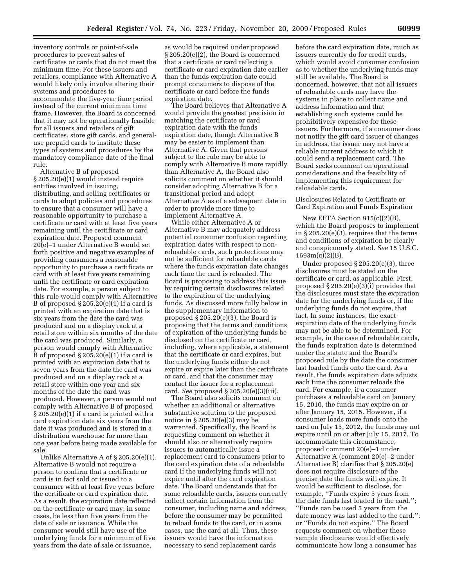inventory controls or point-of-sale procedures to prevent sales of certificates or cards that do not meet the minimum time. For these issuers and retailers, compliance with Alternative A would likely only involve altering their systems and procedures to accommodate the five-year time period instead of the current minimum time frame. However, the Board is concerned that it may not be operationally feasible for all issuers and retailers of gift certificates, store gift cards, and generaluse prepaid cards to institute these types of systems and procedures by the mandatory compliance date of the final rule.

Alternative B of proposed § 205.20(e)(1) would instead require entities involved in issuing, distributing, and selling certificates or cards to adopt policies and procedures to ensure that a consumer will have a reasonable opportunity to purchase a certificate or card with at least five years remaining until the certificate or card expiration date. Proposed comment 20(e)–1 under Alternative B would set forth positive and negative examples of providing consumers a reasonable opportunity to purchase a certificate or card with at least five years remaining until the certificate or card expiration date. For example, a person subject to this rule would comply with Alternative B of proposed  $\S 205.20(e)(1)$  if a card is printed with an expiration date that is six years from the date the card was produced and on a display rack at a retail store within six months of the date the card was produced. Similarly, a person would comply with Alternative B of proposed  $\S 205.20(e)(1)$  if a card is printed with an expiration date that is seven years from the date the card was produced and on a display rack at a retail store within one year and six months of the date the card was produced. However, a person would not comply with Alternative B of proposed  $\S 205.20(e)(1)$  if a card is printed with a card expiration date six years from the date it was produced and is stored in a distribution warehouse for more than one year before being made available for sale.

Unlike Alternative A of § 205.20(e)(1), Alternative B would not require a person to confirm that a certificate or card is in fact sold or issued to a consumer with at least five years before the certificate or card expiration date. As a result, the expiration date reflected on the certificate or card may, in some cases, be less than five years from the date of sale or issuance. While the consumer would still have use of the underlying funds for a minimum of five years from the date of sale or issuance,

as would be required under proposed § 205.20(e)(2), the Board is concerned that a certificate or card reflecting a certificate or card expiration date earlier than the funds expiration date could prompt consumers to dispose of the certificate or card before the funds expiration date.

The Board believes that Alternative A would provide the greatest precision in matching the certificate or card expiration date with the funds expiration date, though Alternative B may be easier to implement than Alternative A. Given that persons subject to the rule may be able to comply with Alternative B more rapidly than Alternative A, the Board also solicits comment on whether it should consider adopting Alternative B for a transitional period and adopt Alternative A as of a subsequent date in order to provide more time to implement Alternative A.

While either Alternative A or Alternative B may adequately address potential consumer confusion regarding expiration dates with respect to nonreloadable cards, such protections may not be sufficient for reloadable cards where the funds expiration date changes each time the card is reloaded. The Board is proposing to address this issue by requiring certain disclosures related to the expiration of the underlying funds. As discussed more fully below in the supplementary information to proposed § 205.20(e)(3), the Board is proposing that the terms and conditions of expiration of the underlying funds be disclosed on the certificate or card, including, where applicable, a statement that the certificate or card expires, but the underlying funds either do not expire or expire later than the certificate or card, and that the consumer may contact the issuer for a replacement card. *See* proposed § 205.20(e)(3)(iii).

The Board also solicits comment on whether an additional or alternative substantive solution to the proposed notice in § 205.20(e)(3) may be warranted. Specifically, the Board is requesting comment on whether it should also or alternatively require issuers to automatically issue a replacement card to consumers prior to the card expiration date of a reloadable card if the underlying funds will not expire until after the card expiration date. The Board understands that for some reloadable cards, issuers currently collect certain information from the consumer, including name and address, before the consumer may be permitted to reload funds to the card, or in some cases, use the card at all. Thus, these issuers would have the information necessary to send replacement cards

before the card expiration date, much as issuers currently do for credit cards, which would avoid consumer confusion as to whether the underlying funds may still be available. The Board is concerned, however, that not all issuers of reloadable cards may have the systems in place to collect name and address information and that establishing such systems could be prohibitively expensive for these issuers. Furthermore, if a consumer does not notify the gift card issuer of changes in address, the issuer may not have a reliable current address to which it could send a replacement card. The Board seeks comment on operational considerations and the feasibility of implementing this requirement for reloadable cards.

Disclosures Related to Certificate or Card Expiration and Funds Expiration

New EFTA Section 915(c)(2)(B), which the Board proposes to implement in  $\S 205.20(e)(3)$ , requires that the terms and conditions of expiration be clearly and conspicuously stated. *See* 15 U.S.C. 1693m(c)(2)(B).

Under proposed § 205.20(e)(3), three disclosures must be stated on the certificate or card, as applicable. First, proposed  $\S 205.20(e)(3)$ (i) provides that the disclosures must state the expiration date for the underlying funds or, if the underlying funds do not expire, that fact. In some instances, the exact expiration date of the underlying funds may not be able to be determined. For example, in the case of reloadable cards, the funds expiration date is determined under the statute and the Board's proposed rule by the date the consumer last loaded funds onto the card. As a result, the funds expiration date adjusts each time the consumer reloads the card. For example, if a consumer purchases a reloadable card on January 15, 2010, the funds may expire on or after January 15, 2015. However, if a consumer loads more funds onto the card on July 15, 2012, the funds may not expire until on or after July 15, 2017. To accommodate this circumstance, proposed comment 20(e)–1 under Alternative A (comment 20(e)–2 under Alternative B) clarifies that § 205.20(e) does not require disclosure of the precise date the funds will expire. It would be sufficient to disclose, for example, ''Funds expire 5 years from the date funds last loaded to the card.''; ''Funds can be used 5 years from the date money was last added to the card.''; or ''Funds do not expire.'' The Board requests comment on whether these sample disclosures would effectively communicate how long a consumer has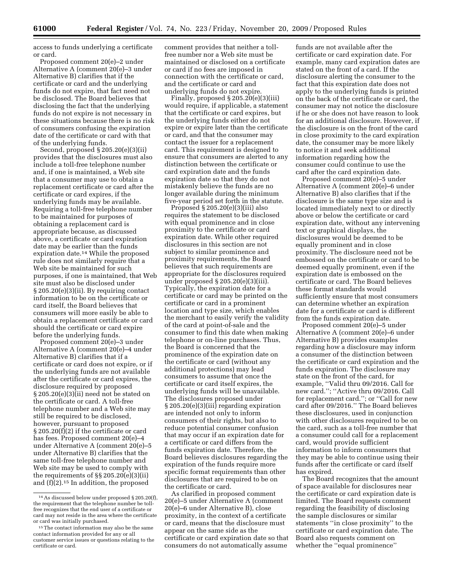access to funds underlying a certificate or card.

Proposed comment 20(e)–2 under Alternative A (comment 20(e)–3 under Alternative B) clarifies that if the certificate or card and the underlying funds do not expire, that fact need not be disclosed. The Board believes that disclosing the fact that the underlying funds do not expire is not necessary in these situations because there is no risk of consumers confusing the expiration date of the certificate or card with that of the underlying funds.

Second, proposed § 205.20(e)(3)(ii) provides that the disclosures must also include a toll-free telephone number and, if one is maintained, a Web site that a consumer may use to obtain a replacement certificate or card after the certificate or card expires, if the underlying funds may be available. Requiring a toll-free telephone number to be maintained for purposes of obtaining a replacement card is appropriate because, as discussed above, a certificate or card expiration date may be earlier than the funds expiration date.14 While the proposed rule does not similarly require that a Web site be maintained for such purposes, if one is maintained, that Web site must also be disclosed under § 205.20(e)(3)(ii). By requiring contact information to be on the certificate or card itself, the Board believes that consumers will more easily be able to obtain a replacement certificate or card should the certificate or card expire before the underlying funds.

Proposed comment 20(e)–3 under Alternative A (comment 20(e)–4 under Alternative B) clarifies that if a certificate or card does not expire, or if the underlying funds are not available after the certificate or card expires, the disclosure required by proposed § 205.20(e)(3)(ii) need not be stated on the certificate or card. A toll-free telephone number and a Web site may still be required to be disclosed, however, pursuant to proposed § 205.20(f)(2) if the certificate or card has fees. Proposed comment 20(e)–4 under Alternative A (comment 20(e)–5 under Alternative B) clarifies that the same toll-free telephone number and Web site may be used to comply with the requirements of §§ 205.20(e)(3)(ii) and (f)(2).15 In addition, the proposed

comment provides that neither a tollfree number nor a Web site must be maintained or disclosed on a certificate or card if no fees are imposed in connection with the certificate or card, and the certificate or card and underlying funds do not expire.

Finally, proposed § 205.20(e)(3)(iii) would require, if applicable, a statement that the certificate or card expires, but the underlying funds either do not expire or expire later than the certificate or card, and that the consumer may contact the issuer for a replacement card. This requirement is designed to ensure that consumers are alerted to any distinction between the certificate or card expiration date and the funds expiration date so that they do not mistakenly believe the funds are no longer available during the minimum five-year period set forth in the statute.

Proposed § 205.20(e)(3)(iii) also requires the statement to be disclosed with equal prominence and in close proximity to the certificate or card expiration date. While other required disclosures in this section are not subject to similar prominence and proximity requirements, the Board believes that such requirements are appropriate for the disclosures required under proposed § 205.20(e)(3)(iii). Typically, the expiration date for a certificate or card may be printed on the certificate or card in a prominent location and type size, which enables the merchant to easily verify the validity of the card at point-of-sale and the consumer to find this date when making telephone or on-line purchases. Thus, the Board is concerned that the prominence of the expiration date on the certificate or card (without any additional protections) may lead consumers to assume that once the certificate or card itself expires, the underlying funds will be unavailable. The disclosures proposed under § 205.20(e)(3)(iii) regarding expiration are intended not only to inform consumers of their rights, but also to reduce potential consumer confusion that may occur if an expiration date for a certificate or card differs from the funds expiration date. Therefore, the Board believes disclosures regarding the expiration of the funds require more specific format requirements than other disclosures that are required to be on the certificate or card.

As clarified in proposed comment 20(e)–5 under Alternative A (comment 20(e)–6 under Alternative B), close proximity, in the context of a certificate or card, means that the disclosure must appear on the same side as the certificate or card expiration date so that consumers do not automatically assume

funds are not available after the certificate or card expiration date. For example, many card expiration dates are stated on the front of a card. If the disclosure alerting the consumer to the fact that this expiration date does not apply to the underlying funds is printed on the back of the certificate or card, the consumer may not notice the disclosure if he or she does not have reason to look for an additional disclosure. However, if the disclosure is on the front of the card in close proximity to the card expiration date, the consumer may be more likely to notice it and seek additional information regarding how the consumer could continue to use the card after the card expiration date.

Proposed comment 20(e)–5 under Alternative A (comment 20(e)–6 under Alternative B) also clarifies that if the disclosure is the same type size and is located immediately next to or directly above or below the certificate or card expiration date, without any intervening text or graphical displays, the disclosures would be deemed to be equally prominent and in close proximity. The disclosure need not be embossed on the certificate or card to be deemed equally prominent, even if the expiration date is embossed on the certificate or card. The Board believes these format standards would sufficiently ensure that most consumers can determine whether an expiration date for a certificate or card is different from the funds expiration date.

Proposed comment 20(e)–5 under Alternative A (comment 20(e)–6 under Alternative B) provides examples regarding how a disclosure may inform a consumer of the distinction between the certificate or card expiration and the funds expiration. The disclosure may state on the front of the card, for example, ''Valid thru 09/2016. Call for new card.''; ''Active thru 09/2016. Call for replacement card.''; or ''Call for new card after 09/2016.'' The Board believes these disclosures, used in conjunction with other disclosures required to be on the card, such as a toll-free number that a consumer could call for a replacement card, would provide sufficient information to inform consumers that they may be able to continue using their funds after the certificate or card itself has expired.

The Board recognizes that the amount of space available for disclosures near the certificate or card expiration date is limited. The Board requests comment regarding the feasibility of disclosing the sample disclosures or similar statements ''in close proximity'' to the certificate or card expiration date. The Board also requests comment on whether the ''equal prominence''

<sup>14</sup>As discussed below under proposed § 205.20(f), the requirement that the telephone number be tollfree recognizes that the end user of a certificate or card may not reside in the area where the certificate or card was initially purchased.

<sup>15</sup>The contact information may also be the same contact information provided for any or all customer service issues or questions relating to the certificate or card.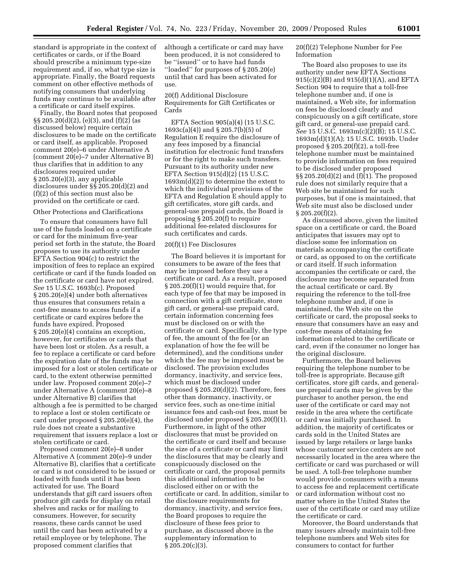standard is appropriate in the context of certificates or cards, or if the Board should prescribe a minimum type-size requirement and, if so, what type size is appropriate. Finally, the Board requests comment on other effective methods of notifying consumers that underlying funds may continue to be available after a certificate or card itself expires.

Finally, the Board notes that proposed §§ 205.20(d)(2), (e)(3), and (f)(2) (as discussed below) require certain disclosures to be made on the certificate or card itself, as applicable. Proposed comment 20(e)–6 under Alternative A (comment 20(e)–7 under Alternative B) thus clarifies that in addition to any disclosures required under § 205.20(e)(3), any applicable disclosures under §§ 205.20(d)(2) and (f)(2) of this section must also be provided on the certificate or card.

#### Other Protections and Clarifications

To ensure that consumers have full use of the funds loaded on a certificate or card for the minimum five-year period set forth in the statute, the Board proposes to use its authority under EFTA Section 904(c) to restrict the imposition of fees to replace an expired certificate or card if the funds loaded on the certificate or card have not expired. *See* 15 U.S.C. 1693b(c). Proposed § 205.20(e)(4) under both alternatives thus ensures that consumers retain a cost-free means to access funds if a certificate or card expires before the funds have expired. Proposed § 205.20(e)(4) contains an exception, however, for certificates or cards that have been lost or stolen. As a result, a fee to replace a certificate or card before the expiration date of the funds may be imposed for a lost or stolen certificate or card, to the extent otherwise permitted under law. Proposed comment 20(e)–7 under Alternative A (comment 20(e)–8 under Alternative B) clarifies that although a fee is permitted to be charged to replace a lost or stolen certificate or card under proposed § 205.20(e)(4), the rule does not create a substantive requirement that issuers replace a lost or stolen certificate or card.

Proposed comment 20(e)–8 under Alternative A (comment 20(e)–9 under Alternative B), clarifies that a certificate or card is not considered to be issued or loaded with funds until it has been activated for use. The Board understands that gift card issuers often produce gift cards for display on retail shelves and racks or for mailing to consumers. However, for security reasons, these cards cannot be used until the card has been activated by a retail employee or by telephone. The proposed comment clarifies that

although a certificate or card may have been produced, it is not considered to be ''issued'' or to have had funds ''loaded'' for purposes of § 205.20(e) until that card has been activated for use.

20(f) Additional Disclosure Requirements for Gift Certificates or Cards

EFTA Section 905(a)(4) (15 U.S.C. 1693c(a)(4)) and § 205.7(b)(5) of Regulation E require the disclosure of any fees imposed by a financial institution for electronic fund transfers or for the right to make such transfers. Pursuant to its authority under new EFTA Section 915(d)(2) (15 U.S.C.  $1693m(d)(2)$  to determine the extent to which the individual provisions of the EFTA and Regulation E should apply to gift certificates, store gift cards, and general-use prepaid cards, the Board is proposing § 205.20(f) to require additional fee-related disclosures for such certificates and cards.

# 20(f)(1) Fee Disclosures

The Board believes it is important for consumers to be aware of the fees that may be imposed before they use a certificate or card. As a result, proposed § 205.20(f)(1) would require that, for each type of fee that may be imposed in connection with a gift certificate, store gift card, or general-use prepaid card, certain information concerning fees must be disclosed on or with the certificate or card. Specifically, the type of fee, the amount of the fee (or an explanation of how the fee will be determined), and the conditions under which the fee may be imposed must be disclosed. The provision excludes dormancy, inactivity, and service fees, which must be disclosed under proposed § 205.20(d)(2). Therefore, fees other than dormancy, inactivity, or service fees, such as one-time initial issuance fees and cash-out fees, must be disclosed under proposed § 205.20(f)(1). Furthermore, in light of the other disclosures that must be provided on the certificate or card itself and because the size of a certificate or card may limit the disclosures that may be clearly and conspicuously disclosed on the certificate or card, the proposal permits this additional information to be disclosed either on or with the certificate or card. In addition, similar to the disclosure requirements for dormancy, inactivity, and service fees, the Board proposes to require the disclosure of these fees prior to purchase, as discussed above in the supplementary information to § 205.20(c)(3).

20(f)(2) Telephone Number for Fee Information

The Board also proposes to use its authority under new EFTA Sections 915(c)(2)(B) and 915(d)(1)(A), and EFTA Section 904 to require that a toll-free telephone number and, if one is maintained, a Web site, for information on fees be disclosed clearly and conspicuously on a gift certificate, store gift card, or general-use prepaid card. *See* 15 U.S.C. 1693m(c)(2)(B); 15 U.S.C. 1693m(d)(1)(A); 15 U.S.C. 1693b. Under proposed  $\S 205.20(f)(2)$ , a toll-free telephone number must be maintained to provide information on fees required to be disclosed under proposed  $\S\S 205.20(d)(2)$  and  $(f)(1)$ . The proposed rule does not similarly require that a Web site be maintained for such purposes, but if one is maintained, that Web site must also be disclosed under  $§ 205.20(f)(2).$ 

As discussed above, given the limited space on a certificate or card, the Board anticipates that issuers may opt to disclose some fee information on materials accompanying the certificate or card, as opposed to on the certificate or card itself. If such information accompanies the certificate or card, the disclosure may become separated from the actual certificate or card. By requiring the reference to the toll-free telephone number and, if one is maintained, the Web site on the certificate or card, the proposal seeks to ensure that consumers have an easy and cost-free means of obtaining fee information related to the certificate or card, even if the consumer no longer has the original disclosure.

Furthermore, the Board believes requiring the telephone number to be toll-free is appropriate. Because gift certificates, store gift cards, and generaluse prepaid cards may be given by the purchaser to another person, the end user of the certificate or card may not reside in the area where the certificate or card was initially purchased. In addition, the majority of certificates or cards sold in the United States are issued by large retailers or large banks whose customer service centers are not necessarily located in the area where the certificate or card was purchased or will be used. A toll-free telephone number would provide consumers with a means to access fee and replacement certificate or card information without cost no matter where in the United States the user of the certificate or card may utilize the certificate or card.

Moreover, the Board understands that many issuers already maintain toll-free telephone numbers and Web sites for consumers to contact for further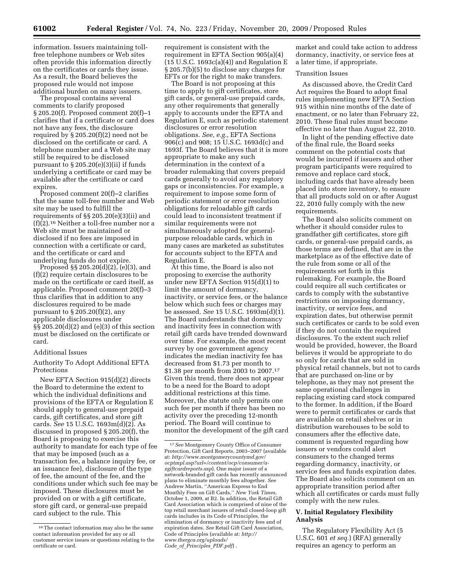information. Issuers maintaining tollfree telephone numbers or Web sites often provide this information directly on the certificates or cards they issue. As a result, the Board believes the proposed rule would not impose additional burden on many issuers.

The proposal contains several comments to clarify proposed § 205.20(f). Proposed comment 20(f)–1 clarifies that if a certificate or card does not have any fees, the disclosure required by § 205.20(f)(2) need not be disclosed on the certificate or card. A telephone number and a Web site may still be required to be disclosed pursuant to § 205.20(e)(3)(ii) if funds underlying a certificate or card may be available after the certificate or card expires.

Proposed comment 20(f)–2 clarifies that the same toll-free number and Web site may be used to fulfill the requirements of §§ 205.20(e)(3)(ii) and  $(f)(2).<sup>16</sup>$  Neither a toll-free number nor a Web site must be maintained or disclosed if no fees are imposed in connection with a certificate or card, and the certificate or card and underlying funds do not expire.

Proposed §§ 205.20(d)(2), (e)(3), and (f)(2) require certain disclosures to be made on the certificate or card itself, as applicable. Proposed comment 20(f)–3 thus clarifies that in addition to any disclosures required to be made pursuant to  $\S 205.20(f)(2)$ , any applicable disclosures under §§ 205.20(d)(2) and (e)(3) of this section must be disclosed on the certificate or card.

# Additional Issues

Authority To Adopt Additional EFTA Protections

New EFTA Section 915(d)(2) directs the Board to determine the extent to which the individual definitions and provisions of the EFTA or Regulation E should apply to general-use prepaid cards, gift certificates, and store gift cards. *See* 15 U.S.C. 1693m(d)(2). As discussed in proposed § 205.20(f), the Board is proposing to exercise this authority to mandate for each type of fee that may be imposed (such as a transaction fee, a balance inquiry fee, or an issuance fee), disclosure of the type of fee, the amount of the fee, and the conditions under which such fee may be imposed. These disclosures must be provided on or with a gift certificate, store gift card, or general-use prepaid card subject to the rule. This

requirement is consistent with the requirement in EFTA Section 905(a)(4)  $(15 \text{ U.S.C. } 1693c(a)(4))$  and Regulation E § 205.7(b)(5) to disclose any charges for EFTs or for the right to make transfers.

The Board is not proposing at this time to apply to gift certificates, store gift cards, or general-use prepaid cards, any other requirements that generally apply to accounts under the EFTA and Regulation E, such as periodic statement disclosures or error resolution obligations. *See, e.g.,* EFTA Sections 906(c) and 908; 15 U.S.C. 1693d(c) and 1693f. The Board believes that it is more appropriate to make any such determination in the context of a broader rulemaking that covers prepaid cards generally to avoid any regulatory gaps or inconsistencies. For example, a requirement to impose some form of periodic statement or error resolution obligations for reloadable gift cards could lead to inconsistent treatment if similar requirements were not simultaneously adopted for generalpurpose reloadable cards, which in many cases are marketed as substitutes for accounts subject to the EFTA and Regulation E.

At this time, the Board is also not proposing to exercise the authority under new EFTA Section 915(d)(1) to limit the amount of dormancy, inactivity, or service fees, or the balance below which such fees or charges may be assessed. *See* 15 U.S.C. 1693m(d)(1). The Board understands that dormancy and inactivity fees in connection with retail gift cards have trended downward over time. For example, the most recent survey by one government agency indicates the median inactivity fee has decreased from \$1.73 per month to \$1.38 per month from 2003 to 2007.17 Given this trend, there does not appear to be a need for the Board to adopt additional restrictions at this time. Moreover, the statute only permits one such fee per month if there has been no activity over the preceding 12-month period. The Board will continue to monitor the development of the gift card market and could take action to address dormancy, inactivity, or service fees at a later time, if appropriate.

# Transition Issues

As discussed above, the Credit Card Act requires the Board to adopt final rules implementing new EFTA Section 915 within nine months of the date of enactment, or no later than February 22, 2010. These final rules must become effective no later than August 22, 2010.

In light of the pending effective date of the final rule, the Board seeks comment on the potential costs that would be incurred if issuers and other program participants were required to remove and replace card stock, including cards that have already been placed into store inventory, to ensure that all products sold on or after August 22, 2010 fully comply with the new requirements.

The Board also solicits comment on whether it should consider rules to grandfather gift certificates, store gift cards, or general-use prepaid cards, as those terms are defined, that are in the marketplace as of the effective date of the rule from some or all of the requirements set forth in this rulemaking. For example, the Board could require all such certificates or cards to comply with the substantive restrictions on imposing dormancy, inactivity, or service fees, and expiration dates, but otherwise permit such certificates or cards to be sold even if they do not contain the required disclosures. To the extent such relief would be provided, however, the Board believes it would be appropriate to do so only for cards that are sold in physical retail channels, but not to cards that are purchased on-line or by telephone, as they may not present the same operational challenges in replacing existing card stock compared to the former. In addition, if the Board were to permit certificates or cards that are available on retail shelves or in distribution warehouses to be sold to consumers after the effective date, comment is requested regarding how issuers or vendors could alert consumers to the changed terms regarding dormancy, inactivity, or service fees and funds expiration dates. The Board also solicits comment on an appropriate transition period after which all certificates or cards must fully comply with the new rules.

# **V. Initial Regulatory Flexibility Analysis**

The Regulatory Flexibility Act (5 U.S.C. 601 *et seq.*) (RFA) generally requires an agency to perform an

<sup>16</sup>The contact information may also be the same contact information provided for any or all customer service issues or questions relating to the certificate or card.

<sup>17</sup>*See* Montgomery County Office of Consumer Protection, Gift Card Reports, 2003–2007 (available at: *http://www.montgomerycountymd.gov/ ocptmpl.asp?url=/content/ocp/consumer/azgiftcardreports.asp*). One major issuer of a network-branded gift cards has recently announced plans to eliminate monthly fees altogether. *See*  Andrew Martin, ''American Express to End Monthly Fees on Gift Cards,'' *New York Times,*  October 1, 2009, at B2. In addition, the Retail Gift Card Association which is comprised of nine of the top retail merchant issuers of retail closed-loop gift cards includes in its Code of Principles, the elimination of dormancy or inactivity fees and of expiration dates. *See* Retail Gift Card Association, Code of Principles (available at: *http:// www.thergca.org/uploads/ Code*\_*of*\_*Principles*\_*PDF.pdf*) .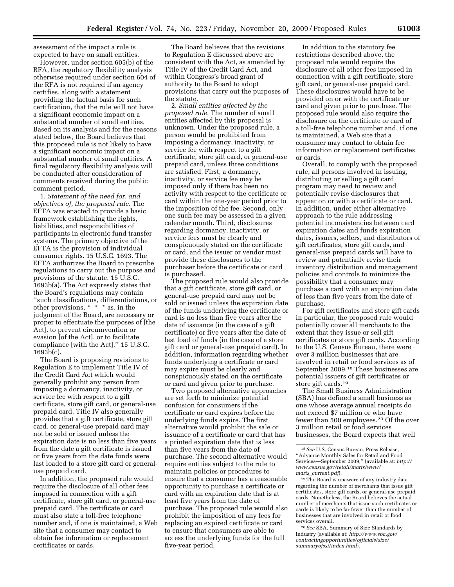assessment of the impact a rule is expected to have on small entities.

However, under section 605(b) of the RFA, the regulatory flexibility analysis otherwise required under section 604 of the RFA is not required if an agency certifies, along with a statement providing the factual basis for such certification, that the rule will not have a significant economic impact on a substantial number of small entities. Based on its analysis and for the reasons stated below, the Board believes that this proposed rule is not likely to have a significant economic impact on a substantial number of small entities. A final regulatory flexibility analysis will be conducted after consideration of comments received during the public comment period.

1. *Statement of the need for, and objectives of, the proposed rule.* The EFTA was enacted to provide a basic framework establishing the rights, liabilities, and responsibilities of participants in electronic fund transfer systems. The primary objective of the EFTA is the provision of individual consumer rights. 15 U.S.C. 1693. The EFTA authorizes the Board to prescribe regulations to carry out the purpose and provisions of the statute. 15 U.S.C. 1693b(a). The Act expressly states that the Board's regulations may contain ''such classifications, differentiations, or other provisions, \* \* \* as, in the judgment of the Board, are necessary or proper to effectuate the purposes of [the Act], to prevent circumvention or evasion [of the Act], or to facilitate compliance [with the Act].'' 15 U.S.C. 1693b(c).

The Board is proposing revisions to Regulation E to implement Title IV of the Credit Card Act which would generally prohibit any person from imposing a dormancy, inactivity, or service fee with respect to a gift certificate, store gift card, or general-use prepaid card. Title IV also generally provides that a gift certificate, store gift card, or general-use prepaid card may not be sold or issued unless the expiration date is no less than five years from the date a gift certificate is issued or five years from the date funds were last loaded to a store gift card or generaluse prepaid card.

In addition, the proposed rule would require the disclosure of all other fees imposed in connection with a gift certificate, store gift card, or general-use prepaid card. The certificate or card must also state a toll-free telephone number and, if one is maintained, a Web site that a consumer may contact to obtain fee information or replacement certificates or cards.

The Board believes that the revisions to Regulation E discussed above are consistent with the Act, as amended by Title IV of the Credit Card Act, and within Congress's broad grant of authority to the Board to adopt provisions that carry out the purposes of the statute.

2. *Small entities affected by the proposed rule.* The number of small entities affected by this proposal is unknown. Under the proposed rule, a person would be prohibited from imposing a dormancy, inactivity, or service fee with respect to a gift certificate, store gift card, or general-use prepaid card, unless three conditions are satisfied. First, a dormancy, inactivity, or service fee may be imposed only if there has been no activity with respect to the certificate or card within the one-year period prior to the imposition of the fee. Second, only one such fee may be assessed in a given calendar month. Third, disclosures regarding dormancy, inactivity, or service fees must be clearly and conspicuously stated on the certificate or card, and the issuer or vendor must provide these disclosures to the purchaser before the certificate or card is purchased.

The proposed rule would also provide that a gift certificate, store gift card, or general-use prepaid card may not be sold or issued unless the expiration date of the funds underlying the certificate or card is no less than five years after the date of issuance (in the case of a gift certificate) or five years after the date of last load of funds (in the case of a store gift card or general-use prepaid card). In addition, information regarding whether funds underlying a certificate or card may expire must be clearly and conspicuously stated on the certificate or card and given prior to purchase.

Two proposed alternative approaches are set forth to minimize potential confusion for consumers if the certificate or card expires before the underlying funds expire. The first alternative would prohibit the sale or issuance of a certificate or card that has a printed expiration date that is less than five years from the date of purchase. The second alternative would require entities subject to the rule to maintain policies or procedures to ensure that a consumer has a reasonable opportunity to purchase a certificate or card with an expiration date that is at least five years from the date of purchase. The proposed rule would also prohibit the imposition of any fees for replacing an expired certificate or card to ensure that consumers are able to access the underlying funds for the full five-year period.

In addition to the statutory fee restrictions described above, the proposed rule would require the disclosure of all other fees imposed in connection with a gift certificate, store gift card, or general-use prepaid card. These disclosures would have to be provided on or with the certificate or card and given prior to purchase. The proposed rule would also require the disclosure on the certificate or card of a toll-free telephone number and, if one is maintained, a Web site that a consumer may contact to obtain fee information or replacement certificates or cards.

Overall, to comply with the proposed rule, all persons involved in issuing, distributing or selling a gift card program may need to review and potentially revise disclosures that appear on or with a certificate or card. In addition, under either alternative approach to the rule addressing potential inconsistencies between card expiration dates and funds expiration dates, issuers, sellers, and distributors of gift certificates, store gift cards, and general-use prepaid cards will have to review and potentially revise their inventory distribution and management policies and controls to minimize the possibility that a consumer may purchase a card with an expiration date of less than five years from the date of purchase.

For gift certificates and store gift cards in particular, the proposed rule would potentially cover all merchants to the extent that they issue or sell gift certificates or store gift cards. According to the U.S. Census Bureau, there were over 3 million businesses that are involved in retail or food services as of September 2009.18 These businesses are potential issuers of gift certificates or store gift cards.19

The Small Business Administration (SBA) has defined a small business as one whose average annual receipts do not exceed \$7 million or who have fewer than 500 employees.20 Of the over 3 million retail or food services businesses, the Board expects that well

<sup>19</sup>The Board is unaware of any industry data regarding the number of merchants that issue gift certificates, store gift cards, or general-use prepaid cards. Nonetheless, the Board believes the actual number of merchants that issue such certificates or cards is likely to be far fewer than the number of businesses that are involved in retail or food services overall.

20*See* SBA, Summary of Size Standards by Industry (available at: *http://www.sba.gov/ contractingopportunities/officials/size/ summaryofssi/index.html*).

<sup>18</sup>*See* U.S. Census Bureau, Press Release, ''Advance Monthly Sales for Retail and Food Services—September 2009,'' (available at: *http:// www.census.gov/retail/marts/www/ marts*\_*current.pdf*).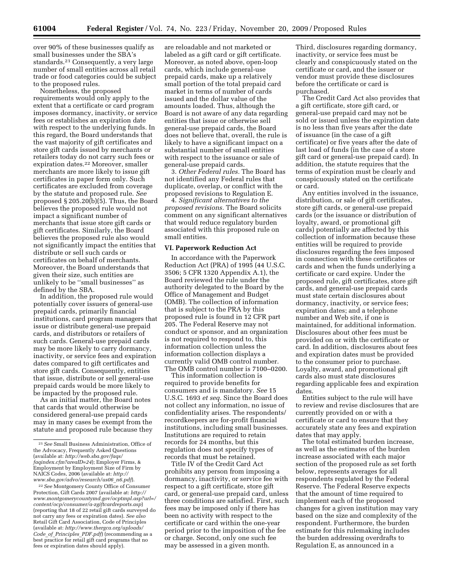over 90% of these businesses qualify as small businesses under the SBA's standards.21 Consequently, a very large number of small entities across all retail trade or food categories could be subject to the proposed rules.

Nonetheless, the proposed requirements would only apply to the extent that a certificate or card program imposes dormancy, inactivity, or service fees or establishes an expiration date with respect to the underlying funds. In this regard, the Board understands that the vast majority of gift certificates and store gift cards issued by merchants or retailers today do not carry such fees or expiration dates.22 Moreover, smaller merchants are more likely to issue gift certificates in paper form only. Such certificates are excluded from coverage by the statute and proposed rule. *See*  proposed § 205.20(b)(5). Thus, the Board believes the proposed rule would not impact a significant number of merchants that issue store gift cards or gift certificates. Similarly, the Board believes the proposed rule also would not significantly impact the entities that distribute or sell such cards or certificates on behalf of merchants. Moreover, the Board understands that given their size, such entities are unlikely to be ''small businesses'' as defined by the SBA.

In addition, the proposed rule would potentially cover issuers of general-use prepaid cards, primarily financial institutions, card program managers that issue or distribute general-use prepaid cards, and distributors or retailers of such cards. General-use prepaid cards may be more likely to carry dormancy, inactivity, or service fees and expiration dates compared to gift certificates and store gift cards. Consequently, entities that issue, distribute or sell general-use prepaid cards would be more likely to be impacted by the proposed rule.

As an initial matter, the Board notes that cards that would otherwise be considered general-use prepaid cards may in many cases be exempt from the statute and proposed rule because they

22*See* Montgomery County Office of Consumer Protection, Gift Cards 2007 (available at: *http:// www.montgomerycountymd.gov/ocptmpl.asp?url=/ content/ocp/consumer/a-zgiftcardreports.asp*) (reporting that 18 of 22 retail gift cards surveyed do not carry any fees or expiration dates). *See also*  Retail Gift Card Association, Code of Principles (available at: *http://www.thergca.org/uploads/ Code*\_*of*\_*Principles*\_*PDF.pdf*) (recommending as a best practice for retail gift card programs that no fees or expiration dates should apply).

are reloadable and not marketed or labeled as a gift card or gift certificate. Moreover, as noted above, open-loop cards, which include general-use prepaid cards, make up a relatively small portion of the total prepaid card market in terms of number of cards issued and the dollar value of the amounts loaded. Thus, although the Board is not aware of any data regarding entities that issue or otherwise sell general-use prepaid cards, the Board does not believe that, overall, the rule is likely to have a significant impact on a substantial number of small entities with respect to the issuance or sale of general-use prepaid cards.

3. *Other Federal rules.* The Board has not identified any Federal rules that duplicate, overlap, or conflict with the proposed revisions to Regulation E.

4. *Significant alternatives to the proposed revisions.* The Board solicits comment on any significant alternatives that would reduce regulatory burden associated with this proposed rule on small entities.

# **VI. Paperwork Reduction Act**

In accordance with the Paperwork Reduction Act (PRA) of 1995 (44 U.S.C. 3506; 5 CFR 1320 Appendix A.1), the Board reviewed the rule under the authority delegated to the Board by the Office of Management and Budget (OMB). The collection of information that is subject to the PRA by this proposed rule is found in 12 CFR part 205. The Federal Reserve may not conduct or sponsor, and an organization is not required to respond to, this information collection unless the information collection displays a currently valid OMB control number. The OMB control number is 7100–0200.

This information collection is required to provide benefits for consumers and is mandatory. *See* 15 U.S.C. 1693 *et seq.* Since the Board does not collect any information, no issue of confidentiality arises. The respondents/ recordkeepers are for-profit financial institutions, including small businesses. Institutions are required to retain records for 24 months, but this regulation does not specify types of records that must be retained.

Title IV of the Credit Card Act prohibits any person from imposing a dormancy, inactivity, or service fee with respect to a gift certificate, store gift card, or general-use prepaid card, unless three conditions are satisfied. First, such fees may be imposed only if there has been no activity with respect to the certificate or card within the one-year period prior to the imposition of the fee or charge. Second, only one such fee may be assessed in a given month.

Third, disclosures regarding dormancy, inactivity, or service fees must be clearly and conspicuously stated on the certificate or card, and the issuer or vendor must provide these disclosures before the certificate or card is purchased.

The Credit Card Act also provides that a gift certificate, store gift card, or general-use prepaid card may not be sold or issued unless the expiration date is no less than five years after the date of issuance (in the case of a gift certificate) or five years after the date of last load of funds (in the case of a store gift card or general-use prepaid card). In addition, the statute requires that the terms of expiration must be clearly and conspicuously stated on the certificate or card.

Any entities involved in the issuance, distribution, or sale of gift certificates, store gift cards, or general-use prepaid cards (or the issuance or distribution of loyalty, award, or promotional gift cards) potentially are affected by this collection of information because these entities will be required to provide disclosures regarding the fees imposed in connection with these certificates or cards and when the funds underlying a certificate or card expire. Under the proposed rule, gift certificates, store gift cards, and general-use prepaid cards must state certain disclosures about dormancy, inactivity, or service fees; expiration dates; and a telephone number and Web site, if one is maintained, for additional information. Disclosures about other fees must be provided on or with the certificate or card. In addition, disclosures about fees and expiration dates must be provided to the consumer prior to purchase. Loyalty, award, and promotional gift cards also must state disclosures regarding applicable fees and expiration dates.

Entities subject to the rule will have to review and revise disclosures that are currently provided on or with a certificate or card to ensure that they accurately state any fees and expiration dates that may apply.

The total estimated burden increase, as well as the estimates of the burden increase associated with each major section of the proposed rule as set forth below, represents averages for all respondents regulated by the Federal Reserve. The Federal Reserve expects that the amount of time required to implement each of the proposed changes for a given institution may vary based on the size and complexity of the respondent. Furthermore, the burden estimate for this rulemaking includes the burden addressing overdrafts to Regulation E, as announced in a

<sup>21</sup>*See* Small Business Administration, Office of the Advocacy, Frequently Asked Questions (available at: *http://web.sba.gov/faqs/ faqindex.cfm?areaID=24*); Employer Firms, & Employment by Employment Size of Firm by NAICS Codes, 2006 (available at: *http:// www.sba.gov/advo/research/us06*\_*n6.pdf*).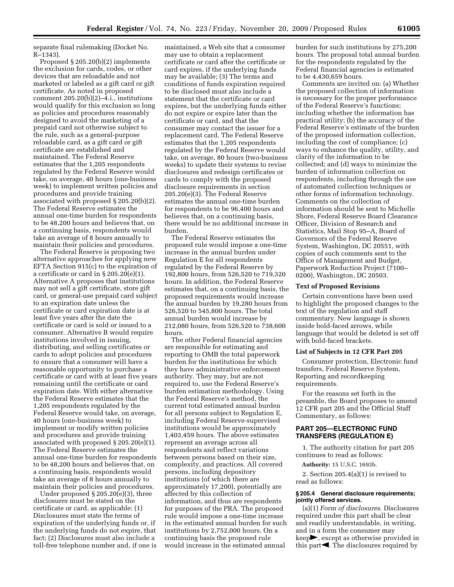separate final rulemaking (Docket No. R–1343).

Proposed § 205.20(b)(2) implements the exclusion for cards, codes, or other devices that are reloadable and not marketed or labeled as a gift card or gift certificate. As noted in proposed comment 205.20(b)(2)–4.i., institutions would qualify for this exclusion so long as policies and procedures reasonably designed to avoid the marketing of a prepaid card not otherwise subject to the rule, such as a general-purpose reloadable card, as a gift card or gift certificate are established and maintained. The Federal Reserve estimates that the 1,205 respondents regulated by the Federal Reserve would take, on average, 40 hours (one-business week) to implement written policies and procedures and provide training associated with proposed § 205.20(b)(2). The Federal Reserve estimates the annual one-time burden for respondents to be 48,200 hours and believes that, on a continuing basis, respondents would take an average of 8 hours annually to maintain their policies and procedures.

The Federal Reserve is proposing two alternative approaches for applying new EFTA Section 915(c) to the expiration of a certificate or card in § 205.20(e)(1). Alternative A proposes that institutions may not sell a gift certificate, store gift card, or general-use prepaid card subject to an expiration date unless the certificate or card expiration date is at least five years after the date the certificate or card is sold or issued to a consumer. Alternative B would require institutions involved in issuing, distributing, and selling certificates or cards to adopt policies and procedures to ensure that a consumer will have a reasonable opportunity to purchase a certificate or card with at least five years remaining until the certificate or card expiration date. With either alternative the Federal Reserve estimates that the 1,205 respondents regulated by the Federal Reserve would take, on average, 40 hours (one-business week) to implement or modify written policies and procedures and provide training associated with proposed § 205.20(e)(1). The Federal Reserve estimates the annual one-time burden for respondents to be 48,200 hours and believes that, on a continuing basis, respondents would take an average of 8 hours annually to maintain their policies and procedures.

Under proposed § 205.20(e)(3), three disclosures must be stated on the certificate or card, as applicable: (1) Disclosures must state the terms of expiration of the underlying funds or, if the underlying funds do not expire, that fact; (2) Disclosures must also include a toll-free telephone number and, if one is

maintained, a Web site that a consumer may use to obtain a replacement certificate or card after the certificate or card expires, if the underlying funds may be available; (3) The terms and conditions of funds expiration required to be disclosed must also include a statement that the certificate or card expires, but the underlying funds either do not expire or expire later than the certificate or card, and that the consumer may contact the issuer for a replacement card. The Federal Reserve estimates that the 1,205 respondents regulated by the Federal Reserve would take, on average, 80 hours (two-business weeks) to update their systems to revise disclosures and redesign certificates or cards to comply with the proposed disclosure requirements in section 205.20(e)(3). The Federal Reserve estimates the annual one-time burden for respondents to be 96,400 hours and believes that, on a continuing basis, there would be no additional increase in burden.

The Federal Reserve estimates the proposed rule would impose a one-time increase in the annual burden under Regulation E for all respondents regulated by the Federal Reserve by 192,800 hours, from 526,520 to 719,320 hours. In addition, the Federal Reserve estimates that, on a continuing basis, the proposed requirements would increase the annual burden by 19,280 hours from 526,520 to 545,800 hours. The total annual burden would increase by 212,080 hours, from 526,520 to 738,600 hours.

The other Federal financial agencies are responsible for estimating and reporting to OMB the total paperwork burden for the institutions for which they have administrative enforcement authority. They may, but are not required to, use the Federal Reserve's burden estimation methodology. Using the Federal Reserve's method, the current total estimated annual burden for all persons subject to Regulation E, including Federal Reserve-supervised institutions would be approximately 1,403,459 hours. The above estimates represent an average across all respondents and reflect variations between persons based on their size, complexity, and practices. All covered persons, including depository institutions (of which there are approximately 17,200), potentially are affected by this collection of information, and thus are respondents for purposes of the PRA. The proposed rule would impose a one-time increase in the estimated annual burden for such institutions by 2,752,000 hours. On a continuing basis the proposed rule would increase in the estimated annual

burden for such institutions by 275,200 hours. The proposal total annual burden for the respondents regulated by the Federal financial agencies is estimated to be 4,430,659 hours.

Comments are invited on: (a) Whether the proposed collection of information is necessary for the proper performance of the Federal Reserve's functions; including whether the information has practical utility; (b) the accuracy of the Federal Reserve's estimate of the burden of the proposed information collection, including the cost of compliance; (c) ways to enhance the quality, utility, and clarity of the information to be collected; and (d) ways to minimize the burden of information collection on respondents, including through the use of automated collection techniques or other forms of information technology. Comments on the collection of information should be sent to Michelle Shore, Federal Reserve Board Clearance Officer, Division of Research and Statistics, Mail Stop 95–A, Board of Governors of the Federal Reserve System, Washington, DC 20551, with copies of such comments sent to the Office of Management and Budget, Paperwork Reduction Project (7100– 0200), Washington, DC 20503.

#### **Text of Proposed Revisions**

Certain conventions have been used to highlight the proposed changes to the text of the regulation and staff commentary. New language is shown inside bold-faced arrows, while language that would be deleted is set off with bold-faced brackets.

#### **List of Subjects in 12 CFR Part 205**

Consumer protection, Electronic fund transfers, Federal Reserve System, Reporting and recordkeeping requirements.

For the reasons set forth in the preamble, the Board proposes to amend 12 CFR part 205 and the Official Staff Commentary, as follows:

# **PART 205—ELECTRONIC FUND TRANSFERS (REGULATION E)**

1. The authority citation for part 205 continues to read as follows:

**Authority:** 15 U.S.C. 1693b.

2. Section 205.4(a)(1) is revised to read as follows:

# **§ 205.4 General disclosure requirements; jointly offered services.**

(a)(1) *Form of disclosures.* Disclosures required under this part shall be clear and readily understandable, in writing, and in a form the consumer may  $keep$ , except as otherwise provided in this part $\blacktriangle$ . The disclosures required by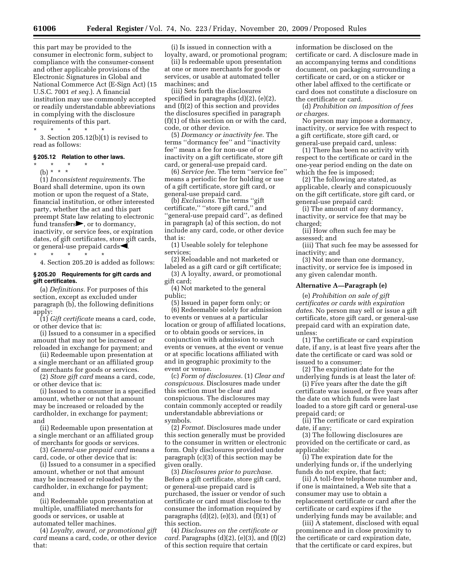this part may be provided to the consumer in electronic form, subject to compliance with the consumer-consent and other applicable provisions of the Electronic Signatures in Global and National Commerce Act (E-Sign Act) (15 U.S.C. 7001 *et seq.*). A financial institution may use commonly accepted or readily understandable abbreviations in complying with the disclosure requirements of this part.

\* \* \* \* \*

3. Section 205.12(b)(1) is revised to read as follows:

#### **§ 205.12 Relation to other laws.**

- $\star$   $\star$   $\star$
- (b) \* \* \*

(1) *Inconsistent requirements.* The Board shall determine, upon its own motion or upon the request of a State, financial institution, or other interested party, whether the act and this part preempt State law relating to electronic fund transfers $\blacktriangleright$ , or to dormancy, inactivity, or service fees, or expiration dates, of gift certificates, store gift cards, or general-use prepaid cards $\blacktriangleleft$ .

\* \* \* \* \*

4. Section 205.20 is added as follows:

# **§ 205.20 Requirements for gift cards and gift certificates.**

(a) *Definitions.* For purposes of this section, except as excluded under paragraph (b), the following definitions apply:

(1) *Gift certificate* means a card, code, or other device that is:

(i) Issued to a consumer in a specified amount that may not be increased or reloaded in exchange for payment; and

(ii) Redeemable upon presentation at a single merchant or an affiliated group of merchants for goods or services.

(2) *Store gift card* means a card, code, or other device that is:

(i) Issued to a consumer in a specified amount, whether or not that amount may be increased or reloaded by the cardholder, in exchange for payment; and

(ii) Redeemable upon presentation at a single merchant or an affiliated group of merchants for goods or services.

(3) *General-use prepaid card* means a card, code, or other device that is:

(i) Issued to a consumer in a specified amount, whether or not that amount may be increased or reloaded by the cardholder, in exchange for payment; and

(ii) Redeemable upon presentation at multiple, unaffiliated merchants for goods or services, or usable at automated teller machines.

(4) *Loyalty, award, or promotional gift card* means a card, code, or other device that:

(i) Is issued in connection with a loyalty, award, or promotional program;

(ii) Is redeemable upon presentation at one or more merchants for goods or services, or usable at automated teller machines; and

(iii) Sets forth the disclosures specified in paragraphs (d)(2), (e)(2), and (f)(2) of this section and provides the disclosures specified in paragraph (f)(1) of this section on or with the card, code, or other device.

(5) *Dormancy or inactivity fee.* The terms ''dormancy fee'' and ''inactivity fee'' mean a fee for non-use of or inactivity on a gift certificate, store gift card, or general-use prepaid card.

(6) *Service fee.* The term ''service fee'' means a periodic fee for holding or use of a gift certificate, store gift card, or general-use prepaid card.

(b) *Exclusions.* The terms ''gift certificate,'' ''store gift card,'' and ''general-use prepaid card'', as defined in paragraph (a) of this section, do not include any card, code, or other device that is:

(1) Useable solely for telephone services;

(2) Reloadable and not marketed or labeled as a gift card or gift certificate;

(3) A loyalty, award, or promotional gift card;

(4) Not marketed to the general public;

(5) Issued in paper form only; or (6) Redeemable solely for admission to events or venues at a particular location or group of affiliated locations, or to obtain goods or services, in conjunction with admission to such events or venues, at the event or venue or at specific locations affiliated with and in geographic proximity to the event or venue.

(c) *Form of disclosures.* (1) *Clear and conspicuous.* Disclosures made under this section must be clear and conspicuous. The disclosures may contain commonly accepted or readily understandable abbreviations or symbols.

(2) *Format.* Disclosures made under this section generally must be provided to the consumer in written or electronic form. Only disclosures provided under paragraph (c)(3) of this section may be given orally.

(3) *Disclosures prior to purchase.*  Before a gift certificate, store gift card, or general-use prepaid card is purchased, the issuer or vendor of such certificate or card must disclose to the consumer the information required by paragraphs  $(d)(2)$ ,  $(e)(3)$ , and  $(f)(1)$  of this section.

(4) *Disclosures on the certificate or card.* Paragraphs (d)(2), (e)(3), and (f)(2) of this section require that certain

information be disclosed on the certificate or card. A disclosure made in an accompanying terms and conditions document, on packaging surrounding a certificate or card, or on a sticker or other label affixed to the certificate or card does not constitute a disclosure on the certificate or card.

(d) *Prohibition on imposition of fees or charges.* 

No person may impose a dormancy, inactivity, or service fee with respect to a gift certificate, store gift card, or general-use prepaid card, unless:

(1) There has been no activity with respect to the certificate or card in the one-year period ending on the date on which the fee is imposed;

(2) The following are stated, as applicable, clearly and conspicuously on the gift certificate, store gift card, or general-use prepaid card:

(i) The amount of any dormancy, inactivity, or service fee that may be charged;

(ii) How often such fee may be assessed; and

(iii) That such fee may be assessed for inactivity; and

(3) Not more than one dormancy, inactivity, or service fee is imposed in any given calendar month.

# **Alternative A—Paragraph (e)**

(e) *Prohibition on sale of gift certificates or cards with expiration dates.* No person may sell or issue a gift certificate, store gift card, or general-use prepaid card with an expiration date, unless:

(1) The certificate or card expiration date, if any, is at least five years after the date the certificate or card was sold or issued to a consumer;

(2) The expiration date for the underlying funds is at least the later of:

(i) Five years after the date the gift certificate was issued, or five years after the date on which funds were last loaded to a store gift card or general-use prepaid card; or

(ii) The certificate or card expiration date, if any;

(3) The following disclosures are provided on the certificate or card, as applicable:

(i) The expiration date for the underlying funds or, if the underlying funds do not expire, that fact;

(ii) A toll-free telephone number and, if one is maintained, a Web site that a consumer may use to obtain a replacement certificate or card after the certificate or card expires if the underlying funds may be available; and

(iii) A statement, disclosed with equal prominence and in close proximity to the certificate or card expiration date, that the certificate or card expires, but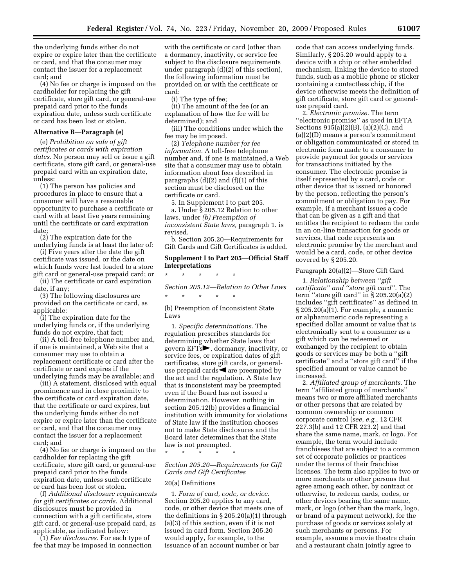the underlying funds either do not expire or expire later than the certificate or card, and that the consumer may contact the issuer for a replacement card; and

(4) No fee or charge is imposed on the cardholder for replacing the gift certificate, store gift card, or general-use prepaid card prior to the funds expiration date, unless such certificate or card has been lost or stolen.

#### **Alternative B—Paragraph (e)**

(e) *Prohibition on sale of gift certificates or cards with expiration dates.* No person may sell or issue a gift certificate, store gift card, or general-use prepaid card with an expiration date, unless:

(1) The person has policies and procedures in place to ensure that a consumer will have a reasonable opportunity to purchase a certificate or card with at least five years remaining until the certificate or card expiration date;

(2) The expiration date for the underlying funds is at least the later of:

(i) Five years after the date the gift certificate was issued, or the date on which funds were last loaded to a store

gift card or general-use prepaid card; or (ii) The certificate or card expiration date, if any;

(3) The following disclosures are provided on the certificate or card, as applicable:

(i) The expiration date for the underlying funds or, if the underlying funds do not expire, that fact;

(ii) A toll-free telephone number and, if one is maintained, a Web site that a consumer may use to obtain a replacement certificate or card after the certificate or card expires if the underlying funds may be available; and

(iii) A statement, disclosed with equal prominence and in close proximity to the certificate or card expiration date, that the certificate or card expires, but the underlying funds either do not expire or expire later than the certificate or card, and that the consumer may contact the issuer for a replacement card; and

(4) No fee or charge is imposed on the cardholder for replacing the gift certificate, store gift card, or general-use prepaid card prior to the funds expiration date, unless such certificate or card has been lost or stolen.

(f) *Additional disclosure requirements for gift certificates or cards.* Additional disclosures must be provided in connection with a gift certificate, store gift card, or general-use prepaid card, as applicable, as indicated below:

(1) *Fee disclosures.* For each type of fee that may be imposed in connection

with the certificate or card (other than a dormancy, inactivity, or service fee subject to the disclosure requirements under paragraph (d)(2) of this section), the following information must be provided on or with the certificate or card:

(i) The type of fee;

(ii) The amount of the fee (or an explanation of how the fee will be determined); and

(iii) The conditions under which the fee may be imposed.

(2) *Telephone number for fee information.* A toll-free telephone number and, if one is maintained, a Web site that a consumer may use to obtain information about fees described in paragraphs  $(d)(2)$  and  $(f)(1)$  of this section must be disclosed on the certificate or card.

5. In Supplement I to part 205.

a. Under § 205.12 Relation to other laws, under *(b) Preemption of inconsistent State laws,* paragraph 1. is revised.

b. Section 205.20—Requirements for Gift Cards and Gift Certificates is added.

# **Supplement I to Part 205—Official Staff Interpretations**

\* \* \* \* \*

\* \* \* \* \*

*Section 205.12—Relation to Other Laws* 

(b) Preemption of Inconsistent State Laws

1. *Specific determinations.* The regulation prescribes standards for determining whether State laws that govern  $EFTs$ , dormancy, inactivity, or service fees, or expiration dates of gift certificates, store gift cards, or generaluse prepaid cards  $\blacktriangleleft$  are preempted by the act and the regulation. A State law that is inconsistent may be preempted even if the Board has not issued a determination. However, nothing in section 205.12(b) provides a financial institution with immunity for violations of State law if the institution chooses not to make State disclosures and the Board later determines that the State law is not preempted. \* \* \* \* \*

# *Section 205.20—Requirements for Gift Cards and Gift Certificates*

#### 20(a) Definitions

1. *Form of card, code, or device.*  Section 205.20 applies to any card, code, or other device that meets one of the definitions in  $\S 205.20(a)(1)$  through (a)(3) of this section, even if it is not issued in card form. Section 205.20 would apply, for example, to the issuance of an account number or bar

code that can access underlying funds. Similarly, § 205.20 would apply to a device with a chip or other embedded mechanism, linking the device to stored funds, such as a mobile phone or sticker containing a contactless chip, if the device otherwise meets the definition of gift certificate, store gift card or generaluse prepaid card.

2. *Electronic promise.* The term ''electronic promise'' as used in EFTA Sections 915(a)(2)(B), (a)(2)(C), and (a)(2)(D) means a person's commitment or obligation communicated or stored in electronic form made to a consumer to provide payment for goods or services for transactions initiated by the consumer. The electronic promise is itself represented by a card, code or other device that is issued or honored by the person, reflecting the person's commitment or obligation to pay. For example, if a merchant issues a code that can be given as a gift and that entitles the recipient to redeem the code in an on-line transaction for goods or services, that code represents an electronic promise by the merchant and would be a card, code, or other device covered by § 205.20.

#### Paragraph 20(a)(2)—Store Gift Card

1. *Relationship between ''gift certificate'' and ''store gift card''.* The term "store gift card" in  $\S 205.20(a)(2)$ includes ''gift certificates'' as defined in § 205.20(a)(1). For example, a numeric or alphanumeric code representing a specified dollar amount or value that is electronically sent to a consumer as a gift which can be redeemed or exchanged by the recipient to obtain goods or services may be both a ''gift certificate'' and a ''store gift card'' if the specified amount or value cannot be increased.

2. *Affiliated group of merchants.* The term ''affiliated group of merchants'' means two or more affiliated merchants or other persons that are related by common ownership or common corporate control (*see, e.g.,* 12 CFR 227.3(b) and 12 CFR 223.2) and that share the same name, mark, or logo. For example, the term would include franchisees that are subject to a common set of corporate policies or practices under the terms of their franchise licenses. The term also applies to two or more merchants or other persons that agree among each other, by contract or otherwise, to redeem cards, codes, or other devices bearing the same name, mark, or logo (other than the mark, logo, or brand of a payment network), for the purchase of goods or services solely at such merchants or persons. For example, assume a movie theatre chain and a restaurant chain jointly agree to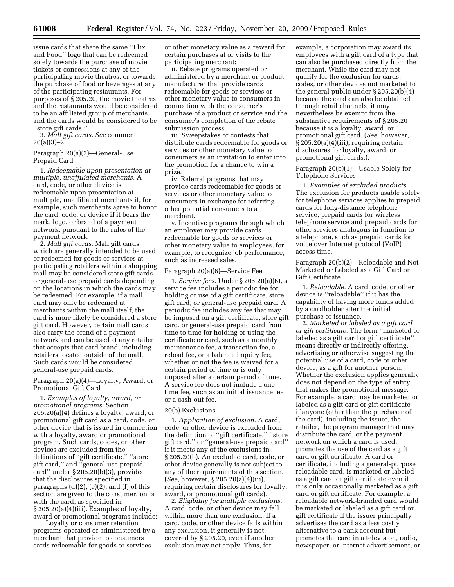issue cards that share the same ''Flix and Food'' logo that can be redeemed solely towards the purchase of movie tickets or concessions at any of the participating movie theatres, or towards the purchase of food or beverages at any of the participating restaurants. For purposes of § 205.20, the movie theatres and the restaurants would be considered to be an affiliated group of merchants, and the cards would be considered to be ''store gift cards.''

3. *Mall gift cards. See* comment  $20(a)(3)-2.$ 

# Paragraph 20(a)(3)—General-Use Prepaid Card

1. *Redeemable upon presentation at multiple, unaffiliated merchants.* A card, code, or other device is redeemable upon presentation at multiple, unaffiliated merchants if, for example, such merchants agree to honor the card, code, or device if it bears the mark, logo, or brand of a payment network, pursuant to the rules of the payment network.

2. *Mall gift cards.* Mall gift cards which are generally intended to be used or redeemed for goods or services at participating retailers within a shopping mall may be considered store gift cards or general-use prepaid cards depending on the locations in which the cards may be redeemed. For example, if a mall card may only be redeemed at merchants within the mall itself, the card is more likely be considered a store gift card. However, certain mall cards also carry the brand of a payment network and can be used at any retailer that accepts that card brand, including retailers located outside of the mall. Such cards would be considered general-use prepaid cards.

#### Paragraph 20(a)(4)—Loyalty, Award, or Promotional Gift Card

1. *Examples of loyalty, award, or promotional programs.* Section 205.20(a)(4) defines a loyalty, award, or promotional gift card as a card, code, or other device that is issued in connection with a loyalty, award or promotional program. Such cards, codes, or other devices are excluded from the definitions of ''gift certificate,'' ''store gift card,'' and ''general-use prepaid card'' under § 205.20(b)(3), provided that the disclosures specified in paragraphs  $(d)(2)$ ,  $(e)(2)$ , and  $(f)$  of this section are given to the consumer, on or with the card, as specified in § 205.20(a)(4)(iii). Examples of loyalty, award or promotional programs include:

i. Loyalty or consumer retention programs operated or administered by a merchant that provide to consumers cards redeemable for goods or services

or other monetary value as a reward for certain purchases at or visits to the participating merchant;

ii. Rebate programs operated or administered by a merchant or product manufacturer that provide cards redeemable for goods or services or other monetary value to consumers in connection with the consumer's purchase of a product or service and the consumer's completion of the rebate submission process.

iii. Sweepstakes or contests that distribute cards redeemable for goods or services or other monetary value to consumers as an invitation to enter into the promotion for a chance to win a prize.

iv. Referral programs that may provide cards redeemable for goods or services or other monetary value to consumers in exchange for referring other potential consumers to a merchant.

v. Incentive programs through which an employer may provide cards redeemable for goods or services or other monetary value to employees, for example, to recognize job performance, such as increased sales.

#### Paragraph 20(a)(6)—Service Fee

1. *Service fees.* Under § 205.20(a)(6), a service fee includes a periodic fee for holding or use of a gift certificate, store gift card, or general-use prepaid card. A periodic fee includes any fee that may be imposed on a gift certificate, store gift card, or general-use prepaid card from time to time for holding or using the certificate or card, such as a monthly maintenance fee, a transaction fee, a reload fee, or a balance inquiry fee, whether or not the fee is waived for a certain period of time or is only imposed after a certain period of time. A service fee does not include a onetime fee, such as an initial issuance fee or a cash-out fee.

#### 20(b) Exclusions

1. *Application of exclusion.* A card, code, or other device is excluded from the definition of ''gift certificate,'' ''store gift card,'' or ''general-use prepaid card'' if it meets any of the exclusions in § 205.20(b). An excluded card, code, or other device generally is not subject to any of the requirements of this section. (*See,* however, § 205.20(a)(4)(iii), requiring certain disclosures for loyalty, award, or promotional gift cards).

2. *Eligibility for multiple exclusions.*  A card, code, or other device may fall within more than one exclusion. If a card, code, or other device falls within any exclusion, it generally is not covered by § 205.20, even if another exclusion may not apply. Thus, for

example, a corporation may award its employees with a gift card of a type that can also be purchased directly from the merchant. While the card may not qualify for the exclusion for cards, codes, or other devices not marketed to the general public under § 205.20(b)(4) because the card can also be obtained through retail channels, it may nevertheless be exempt from the substantive requirements of § 205.20 because it is a loyalty, award, or promotional gift card. (*See,* however,  $\S 205.20(a)(4)$ (iii), requiring certain disclosures for loyalty, award, or promotional gift cards.).

Paragraph 20(b)(1)—Usable Solely for Telephone Services

1. *Examples of excluded products.*  The exclusion for products usable solely for telephone services applies to prepaid cards for long-distance telephone service, prepaid cards for wireless telephone service and prepaid cards for other services analogous in function to a telephone, such as prepaid cards for voice over Internet protocol (VoIP) access time.

Paragraph 20(b)(2)—Reloadable and Not Marketed or Labeled as a Gift Card or Gift Certificate

1. *Reloadable.* A card, code, or other device is ''reloadable'' if it has the capability of having more funds added by a cardholder after the initial purchase or issuance.

2. *Marketed or labeled as a gift card or gift certificate.* The term ''marketed or labeled as a gift card or gift certificate'' means directly or indirectly offering, advertising or otherwise suggesting the potential use of a card, code or other device, as a gift for another person. Whether the exclusion applies generally does not depend on the type of entity that makes the promotional message. For example, a card may be marketed or labeled as a gift card or gift certificate if anyone (other than the purchaser of the card), including the issuer, the retailer, the program manager that may distribute the card, or the payment network on which a card is used, promotes the use of the card as a gift card or gift certificate. A card or certificate, including a general-purpose reloadable card, is marketed or labeled as a gift card or gift certificate even if it is only occasionally marketed as a gift card or gift certificate. For example, a reloadable network-branded card would be marketed or labeled as a gift card or gift certificate if the issuer principally advertises the card as a less costly alternative to a bank account but promotes the card in a television, radio, newspaper, or Internet advertisement, or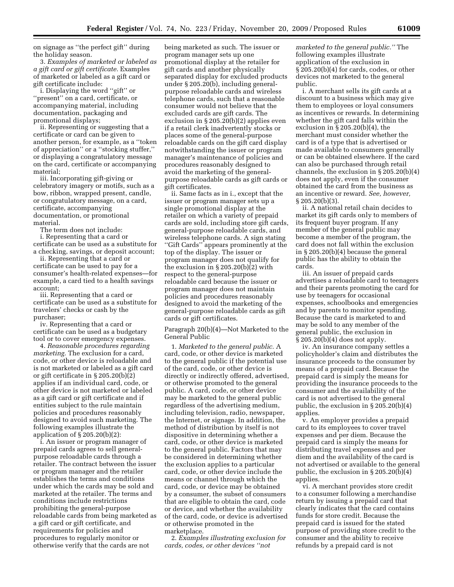on signage as ''the perfect gift'' during the holiday season.

3. *Examples of marketed or labeled as a gift card or gift certificate.* Examples of marketed or labeled as a gift card or gift certificate include:

i. Displaying the word ''gift'' or ''present'' on a card, certificate, or accompanying material, including documentation, packaging and promotional displays;

ii. Representing or suggesting that a certificate or card can be given to another person, for example, as a ''token of appreciation'' or a ''stocking stuffer,'' or displaying a congratulatory message on the card, certificate or accompanying material;

iii. Incorporating gift-giving or celebratory imagery or motifs, such as a bow, ribbon, wrapped present, candle, or congratulatory message, on a card, certificate, accompanying documentation, or promotional material.

The term does not include:

i. Representing that a card or certificate can be used as a substitute for a checking, savings, or deposit account;

ii. Representing that a card or certificate can be used to pay for a consumer's health-related expenses—for example, a card tied to a health savings account;

iii. Representing that a card or certificate can be used as a substitute for travelers' checks or cash by the purchaser;

iv. Representing that a card or certificate can be used as a budgetary tool or to cover emergency expenses.

4. *Reasonable procedures regarding marketing.* The exclusion for a card, code, or other device is reloadable and is not marketed or labeled as a gift card or gift certificate in § 205.20(b)(2) applies if an individual card, code, or other device is not marketed or labeled as a gift card or gift certificate and if entities subject to the rule maintain policies and procedures reasonably designed to avoid such marketing. The following examples illustrate the application of  $\S 205.20(b)(2)$ :

i. An issuer or program manager of prepaid cards agrees to sell generalpurpose reloadable cards through a retailer. The contract between the issuer or program manager and the retailer establishes the terms and conditions under which the cards may be sold and marketed at the retailer. The terms and conditions include restrictions prohibiting the general-purpose reloadable cards from being marketed as a gift card or gift certificate, and requirements for policies and procedures to regularly monitor or otherwise verify that the cards are not

being marketed as such. The issuer or program manager sets up one promotional display at the retailer for gift cards and another physically separated display for excluded products under § 205.20(b), including generalpurpose reloadable cards and wireless telephone cards, such that a reasonable consumer would not believe that the excluded cards are gift cards. The exclusion in § 205.20(b)(2) applies even if a retail clerk inadvertently stocks or places some of the general-purpose reloadable cards on the gift card display notwithstanding the issuer or program manager's maintenance of policies and procedures reasonably designed to avoid the marketing of the generalpurpose reloadable cards as gift cards or gift certificates.

ii. Same facts as in i., except that the issuer or program manager sets up a single promotional display at the retailer on which a variety of prepaid cards are sold, including store gift cards, general-purpose reloadable cards, and wireless telephone cards. A sign stating ''Gift Cards'' appears prominently at the top of the display. The issuer or program manager does not qualify for the exclusion in § 205.20(b)(2) with respect to the general-purpose reloadable card because the issuer or program manager does not maintain policies and procedures reasonably designed to avoid the marketing of the general-purpose reloadable cards as gift cards or gift certificates.

Paragraph 20(b)(4)—Not Marketed to the General Public

1. *Marketed to the general public.* A card, code, or other device is marketed to the general public if the potential use of the card, code, or other device is directly or indirectly offered, advertised, or otherwise promoted to the general public. A card, code, or other device may be marketed to the general public regardless of the advertising medium, including television, radio, newspaper, the Internet, or signage. In addition, the method of distribution by itself is not dispositive in determining whether a card, code, or other device is marketed to the general public. Factors that may be considered in determining whether the exclusion applies to a particular card, code, or other device include the means or channel through which the card, code, or device may be obtained by a consumer, the subset of consumers that are eligible to obtain the card, code or device, and whether the availability of the card, code, or device is advertised or otherwise promoted in the marketplace.

2. *Examples illustrating exclusion for cards, codes, or other devices ''not* 

*marketed to the general public.''* The following examples illustrate application of the exclusion in § 205.20(b)(4) for cards, codes, or other devices not marketed to the general public.

i. A merchant sells its gift cards at a discount to a business which may give them to employees or loyal consumers as incentives or rewards. In determining whether the gift card falls within the exclusion in § 205.20(b)(4), the merchant must consider whether the card is of a type that is advertised or made available to consumers generally or can be obtained elsewhere. If the card can also be purchased through retail channels, the exclusion in § 205.20(b)(4) does not apply, even if the consumer obtained the card from the business as an incentive or reward. *See, however,*   $\S 205.20(b)(3)$ .

ii. A national retail chain decides to market its gift cards only to members of its frequent buyer program. If any member of the general public may become a member of the program, the card does not fall within the exclusion in § 205.20(b)(4) because the general public has the ability to obtain the cards.

iii. An issuer of prepaid cards advertises a reloadable card to teenagers and their parents promoting the card for use by teenagers for occasional expenses, schoolbooks and emergencies and by parents to monitor spending. Because the card is marketed to and may be sold to any member of the general public, the exclusion in  $\S 205.20(b)(4)$  does not apply.

iv. An insurance company settles a policyholder's claim and distributes the insurance proceeds to the consumer by means of a prepaid card. Because the prepaid card is simply the means for providing the insurance proceeds to the consumer and the availability of the card is not advertised to the general public, the exclusion in § 205.20(b)(4) applies.

v. An employer provides a prepaid card to its employees to cover travel expenses and per diem. Because the prepaid card is simply the means for distributing travel expenses and per diem and the availability of the card is not advertised or available to the general public, the exclusion in § 205.20(b)(4) applies.

vi. A merchant provides store credit to a consumer following a merchandise return by issuing a prepaid card that clearly indicates that the card contains funds for store credit. Because the prepaid card is issued for the stated purpose of providing store credit to the consumer and the ability to receive refunds by a prepaid card is not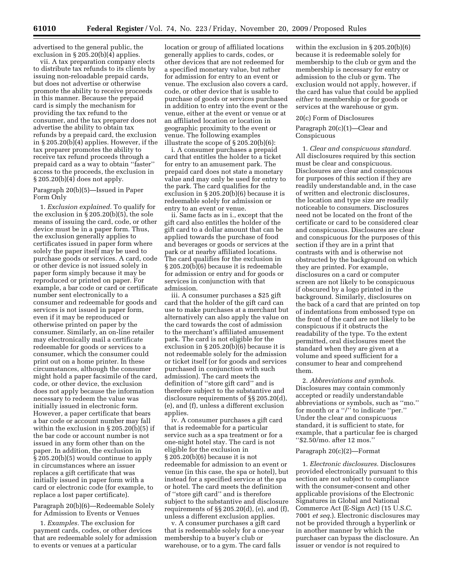advertised to the general public, the exclusion in § 205.20(b)(4) applies.

vii. A tax preparation company elects to distribute tax refunds to its clients by issuing non-reloadable prepaid cards, but does not advertise or otherwise promote the ability to receive proceeds in this manner. Because the prepaid card is simply the mechanism for providing the tax refund to the consumer, and the tax preparer does not advertise the ability to obtain tax refunds by a prepaid card, the exclusion in § 205.20(b)(4) applies. However, if the tax preparer promotes the ability to receive tax refund proceeds through a prepaid card as a way to obtain ''faster'' access to the proceeds, the exclusion in § 205.20(b)(4) does not apply.

# Paragraph 20(b)(5)—Issued in Paper Form Only

1. *Exclusion explained.* To qualify for the exclusion in § 205.20(b)(5), the sole means of issuing the card, code, or other device must be in a paper form. Thus, the exclusion generally applies to certificates issued in paper form where solely the paper itself may be used to purchase goods or services. A card, code or other device is not issued solely in paper form simply because it may be reproduced or printed on paper. For example, a bar code or card or certificate number sent electronically to a consumer and redeemable for goods and services is not issued in paper form, even if it may be reproduced or otherwise printed on paper by the consumer. Similarly, an on-line retailer may electronically mail a certificate redeemable for goods or services to a consumer, which the consumer could print out on a home printer. In these circumstances, although the consumer might hold a paper facsimile of the card, code, or other device, the exclusion does not apply because the information necessary to redeem the value was initially issued in electronic form. However, a paper certificate that bears a bar code or account number may fall within the exclusion in § 205.20(b)(5) if the bar code or account number is not issued in any form other than on the paper. In addition, the exclusion in § 205.20(b)(5) would continue to apply in circumstances where an issuer replaces a gift certificate that was initially issued in paper form with a card or electronic code (for example, to replace a lost paper certificate).

Paragraph 20(b)(6)—Redeemable Solely for Admission to Events or Venues

1. *Examples.* The exclusion for payment cards, codes, or other devices that are redeemable solely for admission to events or venues at a particular

location or group of affiliated locations generally applies to cards, codes, or other devices that are not redeemed for a specified monetary value, but rather for admission for entry to an event or venue. The exclusion also covers a card, code, or other device that is usable to purchase of goods or services purchased in addition to entry into the event or the venue, either at the event or venue or at an affiliated location or location in geographic proximity to the event or venue. The following examples illustrate the scope of § 205.20(b)(6):

i. A consumer purchases a prepaid card that entitles the holder to a ticket for entry to an amusement park. The prepaid card does not state a monetary value and may only be used for entry to the park. The card qualifies for the exclusion in § 205.20(b)(6) because it is redeemable solely for admission or entry to an event or venue.

ii. Same facts as in i., except that the gift card also entitles the holder of the gift card to a dollar amount that can be applied towards the purchase of food and beverages or goods or services at the park or at nearby affiliated locations. The card qualifies for the exclusion in § 205.20(b)(6) because it is redeemable for admission or entry and for goods or services in conjunction with that admission.

iii. A consumer purchases a \$25 gift card that the holder of the gift card can use to make purchases at a merchant but alternatively can also apply the value on the card towards the cost of admission to the merchant's affiliated amusement park. The card is not eligible for the exclusion in § 205.20(b)(6) because it is not redeemable solely for the admission or ticket itself (or for goods and services purchased in conjunction with such admission). The card meets the definition of ''store gift card'' and is therefore subject to the substantive and disclosure requirements of §§ 205.20(d), (e), and (f), unless a different exclusion applies.

iv. A consumer purchases a gift card that is redeemable for a particular service such as a spa treatment or for a one-night hotel stay. The card is not eligible for the exclusion in § 205.20(b)(6) because it is not redeemable for admission to an event or venue (in this case, the spa or hotel), but instead for a specified service at the spa or hotel. The card meets the definition of ''store gift card'' and is therefore subject to the substantive and disclosure requirements of §§ 205.20(d), (e), and (f), unless a different exclusion applies.

v. A consumer purchases a gift card that is redeemable solely for a one-year membership to a buyer's club or warehouse, or to a gym. The card falls

within the exclusion in § 205.20(b)(6) because it is redeemable solely for membership to the club or gym and the membership is necessary for entry or admission to the club or gym. The exclusion would not apply, however, if the card has value that could be applied *either* to membership or for goods or services at the warehouse or gym.

# 20(c) Form of Disclosures

Paragraph 20(c)(1)—Clear and Conspicuous

1. *Clear and conspicuous standard.*  All disclosures required by this section must be clear and conspicuous. Disclosures are clear and conspicuous for purposes of this section if they are readily understandable and, in the case of written and electronic disclosures, the location and type size are readily noticeable to consumers. Disclosures need not be located on the front of the certificate or card to be considered clear and conspicuous. Disclosures are clear and conspicuous for the purposes of this section if they are in a print that contrasts with and is otherwise not obstructed by the background on which they are printed. For example, disclosures on a card or computer screen are not likely to be conspicuous if obscured by a logo printed in the background. Similarly, disclosures on the back of a card that are printed on top of indentations from embossed type on the front of the card are not likely to be conspicuous if it obstructs the readability of the type. To the extent permitted, oral disclosures meet the standard when they are given at a volume and speed sufficient for a consumer to hear and comprehend them.

2. *Abbreviations and symbols.*  Disclosures may contain commonly accepted or readily understandable abbreviations or symbols, such as ''mo.'' for month or a ''/'' to indicate ''per.'' Under the clear and conspicuous standard, it is sufficient to state, for example, that a particular fee is charged ''\$2.50/mo. after 12 mos.''

#### Paragraph 20(c)(2)—Format

1. *Electronic disclosures.* Disclosures provided electronically pursuant to this section are not subject to compliance with the consumer-consent and other applicable provisions of the Electronic Signatures in Global and National Commerce Act (E-Sign Act) (15 U.S.C. 7001 *et seq.*). Electronic disclosures may not be provided through a hyperlink or in another manner by which the purchaser can bypass the disclosure. An issuer or vendor is not required to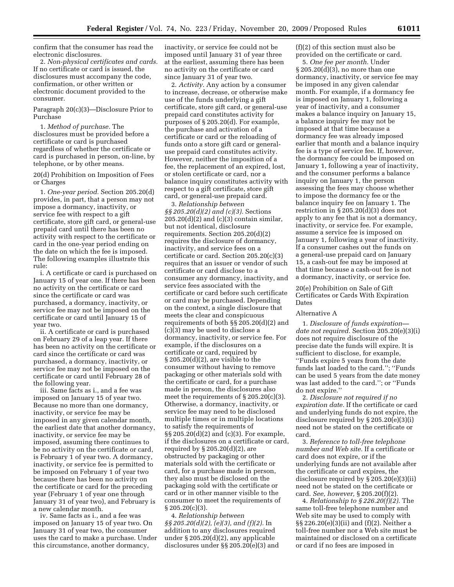confirm that the consumer has read the electronic disclosures.

2. *Non-physical certificates and cards.*  If no certificate or card is issued, the disclosures must accompany the code, confirmation, or other written or electronic document provided to the consumer.

Paragraph 20(c)(3)—Disclosure Prior to Purchase

1. *Method of purchase.* The disclosures must be provided before a certificate or card is purchased regardless of whether the certificate or card is purchased in person, on-line, by telephone, or by other means.

20(d) Prohibition on Imposition of Fees or Charges

1. *One-year period.* Section 205.20(d) provides, in part, that a person may not impose a dormancy, inactivity, or service fee with respect to a gift certificate, store gift card, or general-use prepaid card until there has been no activity with respect to the certificate or card in the one-year period ending on the date on which the fee is imposed. The following examples illustrate this rule:

i. A certificate or card is purchased on January 15 of year one. If there has been no activity on the certificate or card since the certificate or card was purchased, a dormancy, inactivity, or service fee may not be imposed on the certificate or card until January 15 of year two.

ii. A certificate or card is purchased on February 29 of a leap year. If there has been no activity on the certificate or card since the certificate or card was purchased, a dormancy, inactivity, or service fee may not be imposed on the certificate or card until February 28 of the following year.

iii. Same facts as i., and a fee was imposed on January 15 of year two. Because no more than one dormancy, inactivity, or service fee may be imposed in any given calendar month, the earliest date that another dormancy, inactivity, or service fee may be imposed, assuming there continues to be no activity on the certificate or card, is February 1 of year two. A dormancy, inactivity, or service fee is permitted to be imposed on February 1 of year two because there has been no activity on the certificate or card for the preceding year (February 1 of year one through January 31 of year two), and February is a new calendar month.

iv. Same facts as i., and a fee was imposed on January 15 of year two. On January 31 of year two, the consumer uses the card to make a purchase. Under this circumstance, another dormancy,

inactivity, or service fee could not be imposed until January 31 of year three at the earliest, assuming there has been no activity on the certificate or card since January 31 of year two.

2. *Activity.* Any action by a consumer to increase, decrease, or otherwise make use of the funds underlying a gift certificate, store gift card, or general-use prepaid card constitutes activity for purposes of § 205.20(d). For example, the purchase and activation of a certificate or card or the reloading of funds onto a store gift card or generaluse prepaid card constitutes activity. However, neither the imposition of a fee, the replacement of an expired, lost, or stolen certificate or card, nor a balance inquiry constitutes activity with respect to a gift certificate, store gift card, or general-use prepaid card.

3. *Relationship between §§ 205.20(d)(2) and (c)(3).* Sections  $205.20(d)(2)$  and  $(c)(3)$  contain similar, but not identical, disclosure requirements. Section 205.20(d)(2) requires the disclosure of dormancy, inactivity, and service fees on a certificate or card. Section 205.20(c)(3) requires that an issuer or vendor of such certificate or card disclose to a consumer any dormancy, inactivity, and service fees associated with the certificate or card before such certificate or card may be purchased. Depending on the context, a single disclosure that meets the clear and conspicuous requirements of both §§ 205.20(d)(2) and (c)(3) may be used to disclose a dormancy, inactivity, or service fee. For example, if the disclosures on a certificate or card, required by  $\S 205.20(d)(2)$ , are visible to the consumer without having to remove packaging or other materials sold with the certificate or card, for a purchase made in person, the disclosures also meet the requirements of  $\S 205.20(c)(3)$ . Otherwise, a dormancy, inactivity, or service fee may need to be disclosed multiple times or in multiple locations to satisfy the requirements of §§ 205.20(d)(2) and (c)(3). For example, if the disclosures on a certificate or card, required by  $\S 205.20(d)(2)$ , are obstructed by packaging or other materials sold with the certificate or card, for a purchase made in person, they also must be disclosed on the packaging sold with the certificate or card or in other manner visible to the consumer to meet the requirements of § 205.20(c)(3).

4. *Relationship between §§ 205.20(d)(2), (e)(3), and (f)(2).* In addition to any disclosures required under § 205.20(d)(2), any applicable disclosures under §§ 205.20(e)(3) and (f)(2) of this section must also be provided on the certificate or card.

5. *One fee per month.* Under § 205.20(d)(3), no more than one dormancy, inactivity, or service fee may be imposed in any given calendar month. For example, if a dormancy fee is imposed on January 1, following a year of inactivity, and a consumer makes a balance inquiry on January 15, a balance inquiry fee may not be imposed at that time because a dormancy fee was already imposed earlier that month and a balance inquiry fee is a type of service fee. If, however, the dormancy fee could be imposed on January 1, following a year of inactivity, and the consumer performs a balance inquiry on January 1, the person assessing the fees may choose whether to impose the dormancy fee or the balance inquiry fee on January 1. The restriction in § 205.20(d)(3) does not apply to any fee that is not a dormancy, inactivity, or service fee. For example, assume a service fee is imposed on January 1, following a year of inactivity. If a consumer cashes out the funds on a general-use prepaid card on January 15, a cash-out fee may be imposed at that time because a cash-out fee is not a dormancy, inactivity, or service fee.

# 20(e) Prohibition on Sale of Gift Certificates or Cards With Expiration Dates

#### Alternative A

1. *Disclosure of funds expiration date not required.* Section 205.20(e)(3)(i) does not require disclosure of the precise date the funds will expire. It is sufficient to disclose, for example, ''Funds expire 5 years from the date funds last loaded to the card.''; ''Funds can be used 5 years from the date money was last added to the card.''; or ''Funds do not expire.''

2. *Disclosure not required if no expiration date.* If the certificate or card and underlying funds do not expire, the disclosure required by § 205.20(e)(3)(i) need not be stated on the certificate or card.

3. *Reference to toll-free telephone number and Web site.* If a certificate or card does not expire, or if the underlying funds are not available after the certificate or card expires, the disclosure required by § 205.20(e)(3)(ii) need not be stated on the certificate or card. *See, however,* § 205.20(f)(2).

4. *Relationship to § 226.20(f)(2).* The same toll-free telephone number and Web site may be used to comply with §§ 226.20(e)(3)(ii) and (f)(2). Neither a toll-free number nor a Web site must be maintained or disclosed on a certificate or card if no fees are imposed in